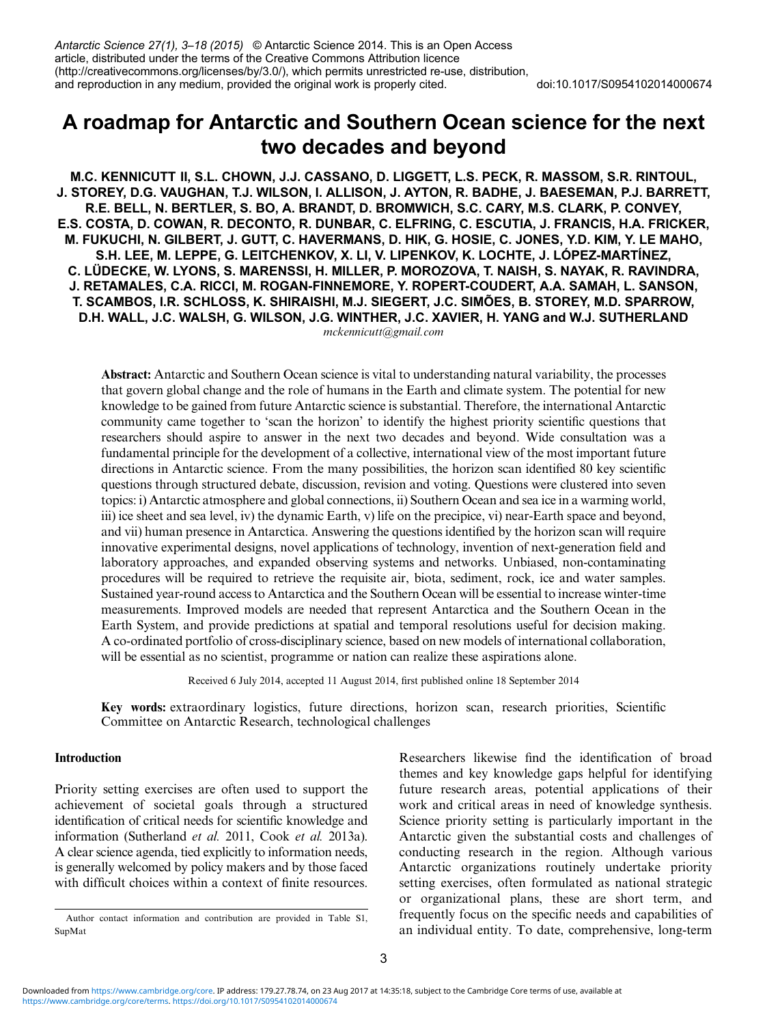Antarctic Science 27(1), 3–18 (2015) © Antarctic Science 2014. This is an Open Access article, distributed under the terms of the Creative Commons Attribution licence (http://creativecommons.org/licenses/by/3.0/), which permits unrestricted re-use, distribution, and reproduction in any medium, provided the original work is properly cited. doi:10.1017/S0954102014000674

# A roadmap for Antarctic and Southern Ocean science for the next two decades and beyond

[M.C. KENNICUTT II,](http://orcid.org/0000-0001-7850-4266) S.L. CHOWN, J.J. CASSANO, D. LIGGETT, L.S. PECK, R. MASSOM, S.R. RINTOUL, J. STOREY, D.G. VAUGHAN, T.J. WILSON, I. ALLISON, J. AYTON, R. BADHE, J. BAESEMAN, P.J. BARRETT, R.E. BELL, N. BERTLER, S. BO, A. BRANDT, D. BROMWICH, S.C. CARY, M.S. CLARK, P. CONVEY, E.S. COSTA, D. COWAN, R. DECONTO, R. DUNBAR, C. ELFRING, C. ESCUTIA, J. FRANCIS, H.A. FRICKER, M. FUKUCHI, N. GILBERT, J. GUTT, C. HAVERMANS, D. HIK, G. HOSIE, C. JONES, Y.D. KIM, Y. LE MAHO, S.H. LEE, M. LEPPE, G. LEITCHENKOV, X. LI, V. LIPENKOV, K. LOCHTE, J. LÓPEZ-MARTÍNEZ, C. LÜDECKE, W. LYONS, S. MARENSSI, H. MILLER, P. MOROZOVA, T. NAISH, S. NAYAK, R. RAVINDRA, J. RETAMALES, C.A. RICCI, M. ROGAN-FINNEMORE, Y. ROPERT-COUDERT, A.A. SAMAH, L. SANSON, T. SCAMBOS, I.R. SCHLOSS, K. SHIRAISHI, M.J. SIEGERT, J.C. SIMÕES, B. STOREY, M.D. SPARROW, D.H. WALL, J.C. WALSH, G. WILSON, J.G. WINTHER, J.C. XAVIER, H. YANG and W.J. SUTHERLAND mckennicutt@gmail.com

Abstract: Antarctic and Southern Ocean science is vital to understanding natural variability, the processes that govern global change and the role of humans in the Earth and climate system. The potential for new knowledge to be gained from future Antarctic science is substantial. Therefore, the international Antarctic community came together to 'scan the horizon' to identify the highest priority scientific questions that researchers should aspire to answer in the next two decades and beyond. Wide consultation was a fundamental principle for the development of a collective, international view of the most important future directions in Antarctic science. From the many possibilities, the horizon scan identified 80 key scientific questions through structured debate, discussion, revision and voting. Questions were clustered into seven topics: i) Antarctic atmosphere and global connections, ii) Southern Ocean and sea ice in a warming world, iii) ice sheet and sea level, iv) the dynamic Earth, v) life on the precipice, vi) near-Earth space and beyond, and vii) human presence in Antarctica. Answering the questions identified by the horizon scan will require innovative experimental designs, novel applications of technology, invention of next-generation field and laboratory approaches, and expanded observing systems and networks. Unbiased, non-contaminating procedures will be required to retrieve the requisite air, biota, sediment, rock, ice and water samples. Sustained year-round access to Antarctica and the Southern Ocean will be essential to increase winter-time measurements. Improved models are needed that represent Antarctica and the Southern Ocean in the Earth System, and provide predictions at spatial and temporal resolutions useful for decision making. A co-ordinated portfolio of cross-disciplinary science, based on new models of international collaboration, will be essential as no scientist, programme or nation can realize these aspirations alone.

Received 6 July 2014, accepted 11 August 2014, first published online 18 September 2014

Key words: extraordinary logistics, future directions, horizon scan, research priorities, Scientific Committee on Antarctic Research, technological challenges

## Introduction

Priority setting exercises are often used to support the achievement of societal goals through a structured identification of critical needs for scientific knowledge and information (Sutherland et al. [2011,](#page-15-0) Cook et al. [2013a](#page-13-0)). A clear science agenda, tied explicitly to information needs, is generally welcomed by policy makers and by those faced with difficult choices within a context of finite resources.

Researchers likewise find the identification of broad themes and key knowledge gaps helpful for identifying future research areas, potential applications of their work and critical areas in need of knowledge synthesis. Science priority setting is particularly important in the Antarctic given the substantial costs and challenges of conducting research in the region. Although various Antarctic organizations routinely undertake priority setting exercises, often formulated as national strategic or organizational plans, these are short term, and frequently focus on the specific needs and capabilities of an individual entity. To date, comprehensive, long-term

Author contact information and contribution are provided in Table S1, SupMat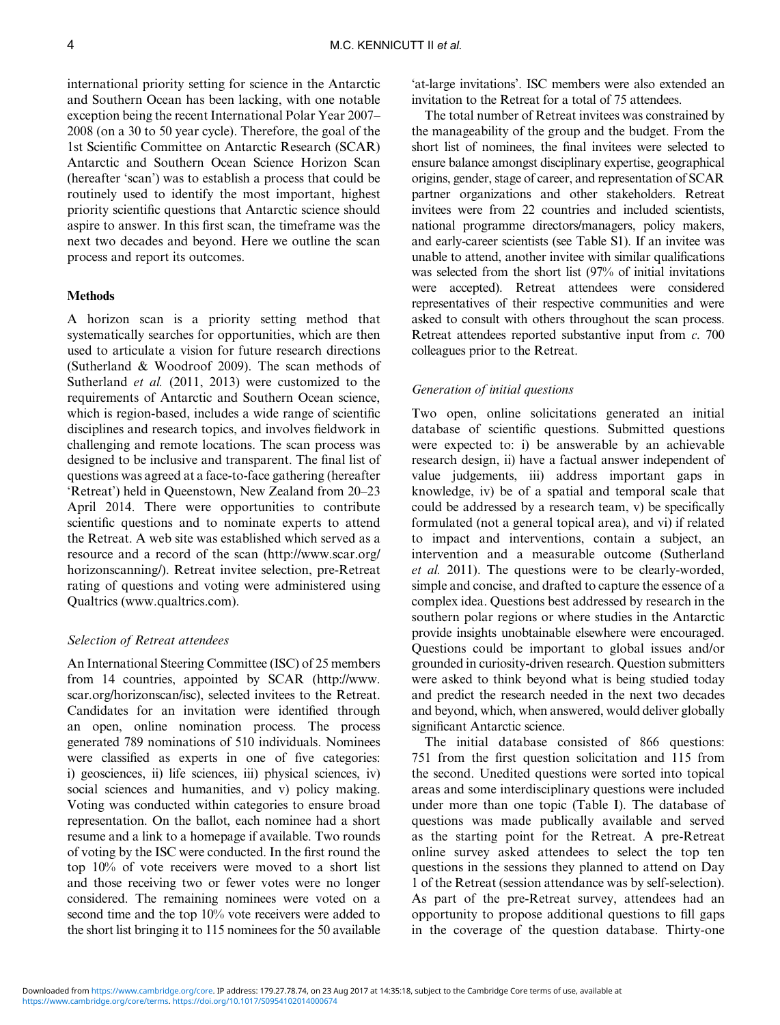international priority setting for science in the Antarctic and Southern Ocean has been lacking, with one notable exception being the recent International Polar Year 2007– 2008 (on a 30 to 50 year cycle). Therefore, the goal of the 1st Scientific Committee on Antarctic Research (SCAR) Antarctic and Southern Ocean Science Horizon Scan (hereafter 'scan') was to establish a process that could be routinely used to identify the most important, highest priority scientific questions that Antarctic science should aspire to answer. In this first scan, the timeframe was the next two decades and beyond. Here we outline the scan process and report its outcomes.

# **Methods**

A horizon scan is a priority setting method that systematically searches for opportunities, which are then used to articulate a vision for future research directions (Sutherland & Woodroof [2009](#page-15-0)). The scan methods of Sutherland et al. ([2011, 2013\)](#page-15-0) were customized to the requirements of Antarctic and Southern Ocean science, which is region-based, includes a wide range of scientific disciplines and research topics, and involves fieldwork in challenging and remote locations. The scan process was designed to be inclusive and transparent. The final list of questions was agreed at a face-to-face gathering (hereafter 'Retreat') held in Queenstown, New Zealand from 20–23 April 2014. There were opportunities to contribute scientific questions and to nominate experts to attend the Retreat. A web site was established which served as a resource and a record of the scan (http://www.scar.org/ horizonscanning/). Retreat invitee selection, pre-Retreat rating of questions and voting were administered using Qualtrics (www.qualtrics.com).

#### Selection of Retreat attendees

An International Steering Committee (ISC) of 25 members from 14 countries, appointed by SCAR (http://www. scar.org/horizonscan/isc), selected invitees to the Retreat. Candidates for an invitation were identified through an open, online nomination process. The process generated 789 nominations of 510 individuals. Nominees were classified as experts in one of five categories: i) geosciences, ii) life sciences, iii) physical sciences, iv) social sciences and humanities, and v) policy making. Voting was conducted within categories to ensure broad representation. On the ballot, each nominee had a short resume and a link to a homepage if available. Two rounds of voting by the ISC were conducted. In the first round the top 10% of vote receivers were moved to a short list and those receiving two or fewer votes were no longer considered. The remaining nominees were voted on a second time and the top 10% vote receivers were added to the short list bringing it to 115 nominees for the 50 available 'at-large invitations'. ISC members were also extended an invitation to the Retreat for a total of 75 attendees.

The total number of Retreat invitees was constrained by the manageability of the group and the budget. From the short list of nominees, the final invitees were selected to ensure balance amongst disciplinary expertise, geographical origins, gender, stage of career, and representation of SCAR partner organizations and other stakeholders. Retreat invitees were from 22 countries and included scientists, national programme directors/managers, policy makers, and early-career scientists (see Table S1). If an invitee was unable to attend, another invitee with similar qualifications was selected from the short list (97% of initial invitations were accepted). Retreat attendees were considered representatives of their respective communities and were asked to consult with others throughout the scan process. Retreat attendees reported substantive input from c. 700 colleagues prior to the Retreat.

#### Generation of initial questions

Two open, online solicitations generated an initial database of scientific questions. Submitted questions were expected to: i) be answerable by an achievable research design, ii) have a factual answer independent of value judgements, iii) address important gaps in knowledge, iv) be of a spatial and temporal scale that could be addressed by a research team, v) be specifically formulated (not a general topical area), and vi) if related to impact and interventions, contain a subject, an intervention and a measurable outcome (Sutherland et al. [2011](#page-15-0)). The questions were to be clearly-worded, simple and concise, and drafted to capture the essence of a complex idea. Questions best addressed by research in the southern polar regions or where studies in the Antarctic provide insights unobtainable elsewhere were encouraged. Questions could be important to global issues and/or grounded in curiosity-driven research. Question submitters were asked to think beyond what is being studied today and predict the research needed in the next two decades and beyond, which, when answered, would deliver globally significant Antarctic science.

The initial database consisted of 866 questions: 751 from the first question solicitation and 115 from the second. Unedited questions were sorted into topical areas and some interdisciplinary questions were included under more than one topic [\(Table I](#page-2-0)). The database of questions was made publically available and served as the starting point for the Retreat. A pre-Retreat online survey asked attendees to select the top ten questions in the sessions they planned to attend on Day 1 of the Retreat (session attendance was by self-selection). As part of the pre-Retreat survey, attendees had an opportunity to propose additional questions to fill gaps in the coverage of the question database. Thirty-one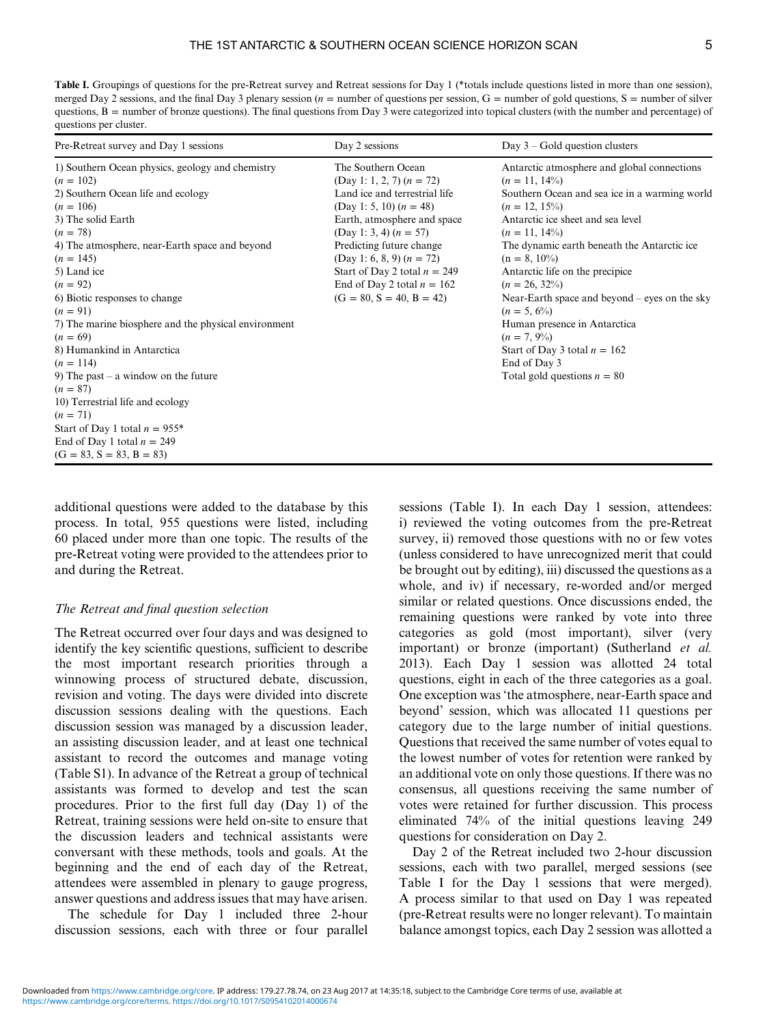<span id="page-2-0"></span>Table I. Groupings of questions for the pre-Retreat survey and Retreat sessions for Day 1 (\*totals include questions listed in more than one session), merged Day 2 sessions, and the final Day 3 plenary session ( $n =$  number of questions per session,  $G =$  number of gold questions,  $S =$  number of silver questions,  $B =$  number of bronze questions). The final questions from Day 3 were categorized into topical clusters (with the number and percentage) of questions per cluster.

| Pre-Retreat survey and Day 1 sessions                                                                                                                                                                                                                                                                                                                                                                                                                                                                                                                                                                                              | Day 2 sessions                                                                                                                                                                                                                                                                                                                            | Day $3 -$ Gold question clusters                                                                                                                                                                                                                                                                                                                                                                                                                                                                                               |
|------------------------------------------------------------------------------------------------------------------------------------------------------------------------------------------------------------------------------------------------------------------------------------------------------------------------------------------------------------------------------------------------------------------------------------------------------------------------------------------------------------------------------------------------------------------------------------------------------------------------------------|-------------------------------------------------------------------------------------------------------------------------------------------------------------------------------------------------------------------------------------------------------------------------------------------------------------------------------------------|--------------------------------------------------------------------------------------------------------------------------------------------------------------------------------------------------------------------------------------------------------------------------------------------------------------------------------------------------------------------------------------------------------------------------------------------------------------------------------------------------------------------------------|
| 1) Southern Ocean physics, geology and chemistry<br>$(n = 102)$<br>2) Southern Ocean life and ecology<br>$(n = 106)$<br>3) The solid Earth<br>$(n = 78)$<br>4) The atmosphere, near-Earth space and beyond<br>$(n = 145)$<br>5) Land ice<br>$(n = 92)$<br>6) Biotic responses to change<br>$(n = 91)$<br>7) The marine biosphere and the physical environment<br>$(n = 69)$<br>8) Humankind in Antarctica<br>$(n = 114)$<br>9) The past – a window on the future<br>$(n = 87)$<br>10) Terrestrial life and ecology<br>$(n = 71)$<br>Start of Day 1 total $n = 955^*$<br>End of Day 1 total $n = 249$<br>$(G = 83, S = 83, B = 83)$ | The Southern Ocean<br>$(Day 1: 1, 2, 7)$ $(n = 72)$<br>Land ice and terrestrial life<br>(Day 1: 5, 10) $(n = 48)$<br>Earth, atmosphere and space<br>$(Day 1: 3, 4)$ $(n = 57)$<br>Predicting future change<br>$(Day 1: 6, 8, 9) (n = 72)$<br>Start of Day 2 total $n = 249$<br>End of Day 2 total $n = 162$<br>$(G = 80, S = 40, B = 42)$ | Antarctic atmosphere and global connections<br>$(n = 11, 14\%)$<br>Southern Ocean and sea ice in a warming world<br>$(n = 12, 15\%)$<br>Antarctic ice sheet and sea level<br>$(n = 11, 14\%)$<br>The dynamic earth beneath the Antarctic ice<br>$(n = 8, 10\%)$<br>Antarctic life on the precipice<br>$(n = 26, 32\%)$<br>Near-Earth space and beyond – eyes on the sky<br>$(n = 5, 6\%)$<br>Human presence in Antarctica<br>$(n = 7, 9\%)$<br>Start of Day 3 total $n = 162$<br>End of Day 3<br>Total gold questions $n = 80$ |

additional questions were added to the database by this process. In total, 955 questions were listed, including 60 placed under more than one topic. The results of the pre-Retreat voting were provided to the attendees prior to and during the Retreat.

#### The Retreat and final question selection

The Retreat occurred over four days and was designed to identify the key scientific questions, sufficient to describe the most important research priorities through a winnowing process of structured debate, discussion, revision and voting. The days were divided into discrete discussion sessions dealing with the questions. Each discussion session was managed by a discussion leader, an assisting discussion leader, and at least one technical assistant to record the outcomes and manage voting (Table S1). In advance of the Retreat a group of technical assistants was formed to develop and test the scan procedures. Prior to the first full day (Day 1) of the Retreat, training sessions were held on-site to ensure that the discussion leaders and technical assistants were conversant with these methods, tools and goals. At the beginning and the end of each day of the Retreat, attendees were assembled in plenary to gauge progress, answer questions and address issues that may have arisen.

The schedule for Day 1 included three 2-hour discussion sessions, each with three or four parallel sessions (Table I). In each Day 1 session, attendees: i) reviewed the voting outcomes from the pre-Retreat survey, ii) removed those questions with no or few votes (unless considered to have unrecognized merit that could be brought out by editing), iii) discussed the questions as a whole, and iv) if necessary, re-worded and/or merged similar or related questions. Once discussions ended, the remaining questions were ranked by vote into three categories as gold (most important), silver (very important) or bronze (important) (Sutherland *et al.* [2013\)](#page-15-0). Each Day 1 session was allotted 24 total questions, eight in each of the three categories as a goal. One exception was 'the atmosphere, near-Earth space and beyond' session, which was allocated 11 questions per category due to the large number of initial questions. Questions that received the same number of votes equal to the lowest number of votes for retention were ranked by an additional vote on only those questions. If there was no consensus, all questions receiving the same number of votes were retained for further discussion. This process eliminated 74% of the initial questions leaving 249 questions for consideration on Day 2.

Day 2 of the Retreat included two 2-hour discussion sessions, each with two parallel, merged sessions (see Table I for the Day 1 sessions that were merged). A process similar to that used on Day 1 was repeated (pre-Retreat results were no longer relevant). To maintain balance amongst topics, each Day 2 session was allotted a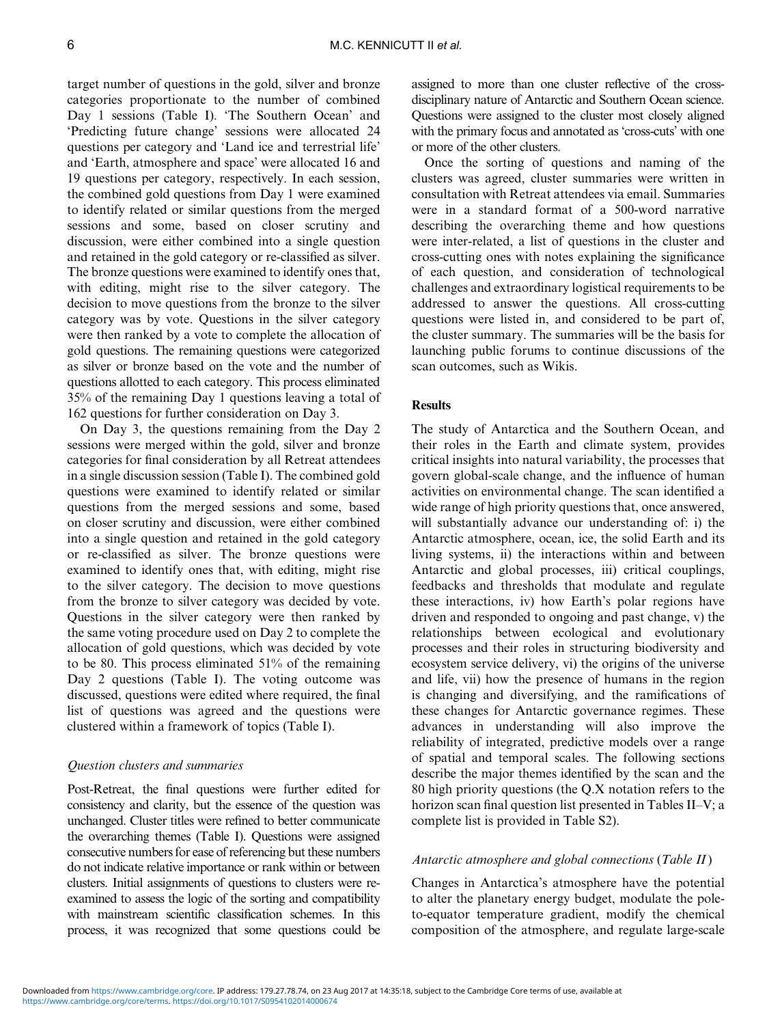target number of questions in the gold, silver and bronze categories proportionate to the number of combined Day 1 sessions ([Table I](#page-2-0)). 'The Southern Ocean' and 'Predicting future change' sessions were allocated 24 questions per category and 'Land ice and terrestrial life' and 'Earth, atmosphere and space' were allocated 16 and 19 questions per category, respectively. In each session, the combined gold questions from Day 1 were examined to identify related or similar questions from the merged sessions and some, based on closer scrutiny and discussion, were either combined into a single question and retained in the gold category or re-classified as silver. The bronze questions were examined to identify ones that, with editing, might rise to the silver category. The decision to move questions from the bronze to the silver category was by vote. Questions in the silver category were then ranked by a vote to complete the allocation of gold questions. The remaining questions were categorized as silver or bronze based on the vote and the number of questions allotted to each category. This process eliminated 35% of the remaining Day 1 questions leaving a total of 162 questions for further consideration on Day 3.

On Day 3, the questions remaining from the Day 2 sessions were merged within the gold, silver and bronze categories for final consideration by all Retreat attendees in a single discussion session ([Table I\)](#page-2-0). The combined gold questions were examined to identify related or similar questions from the merged sessions and some, based on closer scrutiny and discussion, were either combined into a single question and retained in the gold category or re-classified as silver. The bronze questions were examined to identify ones that, with editing, might rise to the silver category. The decision to move questions from the bronze to silver category was decided by vote. Questions in the silver category were then ranked by the same voting procedure used on Day 2 to complete the allocation of gold questions, which was decided by vote to be 80. This process eliminated 51% of the remaining Day 2 questions ([Table I](#page-2-0)). The voting outcome was discussed, questions were edited where required, the final list of questions was agreed and the questions were clustered within a framework of topics [\(Table I\)](#page-2-0).

#### Question clusters and summaries

Post-Retreat, the final questions were further edited for consistency and clarity, but the essence of the question was unchanged. Cluster titles were refined to better communicate the overarching themes ([Table I\)](#page-2-0). Questions were assigned consecutive numbers for ease of referencing but these numbers do not indicate relative importance or rank within or between clusters. Initial assignments of questions to clusters were reexamined to assess the logic of the sorting and compatibility with mainstream scientific classification schemes. In this process, it was recognized that some questions could be assigned to more than one cluster reflective of the crossdisciplinary nature of Antarctic and Southern Ocean science. Questions were assigned to the cluster most closely aligned with the primary focus and annotated as 'cross-cuts' with one or more of the other clusters.

Once the sorting of questions and naming of the clusters was agreed, cluster summaries were written in consultation with Retreat attendees via email. Summaries were in a standard format of a 500-word narrative describing the overarching theme and how questions were inter-related, a list of questions in the cluster and cross-cutting ones with notes explaining the significance of each question, and consideration of technological challenges and extraordinary logistical requirements to be addressed to answer the questions. All cross-cutting questions were listed in, and considered to be part of, the cluster summary. The summaries will be the basis for launching public forums to continue discussions of the scan outcomes, such as Wikis.

## **Results**

The study of Antarctica and the Southern Ocean, and their roles in the Earth and climate system, provides critical insights into natural variability, the processes that govern global-scale change, and the influence of human activities on environmental change. The scan identified a wide range of high priority questions that, once answered, will substantially advance our understanding of: i) the Antarctic atmosphere, ocean, ice, the solid Earth and its living systems, ii) the interactions within and between Antarctic and global processes, iii) critical couplings, feedbacks and thresholds that modulate and regulate these interactions, iv) how Earth's polar regions have driven and responded to ongoing and past change, v) the relationships between ecological and evolutionary processes and their roles in structuring biodiversity and ecosystem service delivery, vi) the origins of the universe and life, vii) how the presence of humans in the region is changing and diversifying, and the ramifications of these changes for Antarctic governance regimes. These advances in understanding will also improve the reliability of integrated, predictive models over a range of spatial and temporal scales. The following sections describe the major themes identified by the scan and the 80 high priority questions (the Q.X notation refers to the horizon scan final question list presented in [Tables II](#page-4-0)–[V;](#page-9-0) a complete list is provided in Table S2).

#### Antarctic atmosphere and global connections ([Table II](#page-4-0))

Changes in Antarctica's atmosphere have the potential to alter the planetary energy budget, modulate the poleto-equator temperature gradient, modify the chemical composition of the atmosphere, and regulate large-scale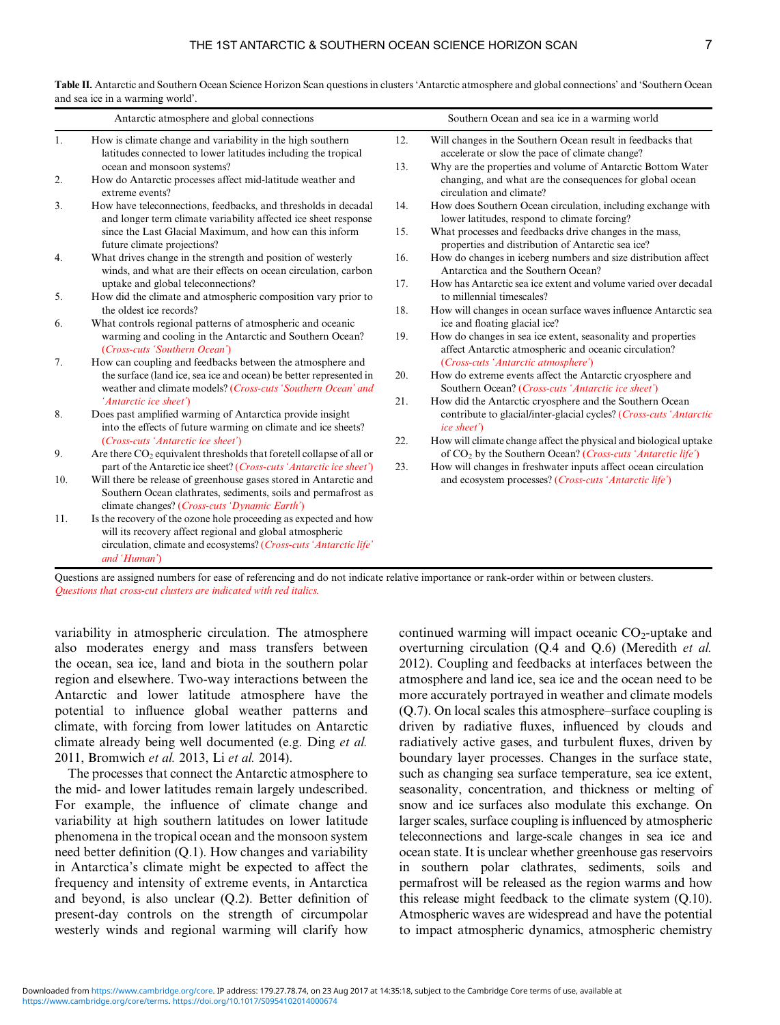<span id="page-4-0"></span>Table II. Antarctic and Southern Ocean Science Horizon Scan questions in clusters 'Antarctic atmosphere and global connections' and 'Southern Ocean and sea ice in a warming world'.

|     | Antarctic atmosphere and global connections                                                                                                                                                                       |     | Southern Ocean and sea ice in a warming world                                                                                                |
|-----|-------------------------------------------------------------------------------------------------------------------------------------------------------------------------------------------------------------------|-----|----------------------------------------------------------------------------------------------------------------------------------------------|
| 1.  | How is climate change and variability in the high southern<br>latitudes connected to lower latitudes including the tropical                                                                                       | 12. | Will changes in the Southern Ocean result in feedbacks that<br>accelerate or slow the pace of climate change?                                |
|     | ocean and monsoon systems?                                                                                                                                                                                        | 13. | Why are the properties and volume of Antarctic Bottom Water                                                                                  |
| 2.  | How do Antarctic processes affect mid-latitude weather and<br>extreme events?                                                                                                                                     |     | changing, and what are the consequences for global ocean<br>circulation and climate?                                                         |
| 3.  | How have teleconnections, feedbacks, and thresholds in decadal<br>and longer term climate variability affected ice sheet response                                                                                 | 14. | How does Southern Ocean circulation, including exchange with<br>lower latitudes, respond to climate forcing?                                 |
|     | since the Last Glacial Maximum, and how can this inform<br>future climate projections?                                                                                                                            | 15. | What processes and feedbacks drive changes in the mass,<br>properties and distribution of Antarctic sea ice?                                 |
| 4.  | What drives change in the strength and position of westerly<br>winds, and what are their effects on ocean circulation, carbon                                                                                     | 16. | How do changes in iceberg numbers and size distribution affect<br>Antarctica and the Southern Ocean?                                         |
| 5.  | uptake and global teleconnections?<br>How did the climate and atmospheric composition vary prior to                                                                                                               | 17. | How has Antarctic sea ice extent and volume varied over decadal<br>to millennial timescales?                                                 |
|     | the oldest ice records?                                                                                                                                                                                           | 18. | How will changes in ocean surface waves influence Antarctic sea                                                                              |
| 6.  | What controls regional patterns of atmospheric and oceanic                                                                                                                                                        |     | ice and floating glacial ice?                                                                                                                |
|     | warming and cooling in the Antarctic and Southern Ocean?<br>(Cross-cuts 'Southern Ocean')                                                                                                                         | 19. | How do changes in sea ice extent, seasonality and properties<br>affect Antarctic atmospheric and oceanic circulation?                        |
| 7.  | How can coupling and feedbacks between the atmosphere and                                                                                                                                                         |     | (Cross-cuts 'Antarctic atmosphere')                                                                                                          |
|     | the surface (land ice, sea ice and ocean) be better represented in<br>weather and climate models? (Cross-cuts 'Southern Ocean' and                                                                                | 20. | How do extreme events affect the Antarctic cryosphere and<br>Southern Ocean? (Cross-cuts 'Antarctic ice sheet')                              |
| 8.  | 'Antarctic ice sheet')<br>Does past amplified warming of Antarctica provide insight                                                                                                                               | 21. | How did the Antarctic cryosphere and the Southern Ocean<br>contribute to glacial/inter-glacial cycles? (Cross-cuts 'Antarctic                |
|     | into the effects of future warming on climate and ice sheets?                                                                                                                                                     |     | ice sheet')                                                                                                                                  |
| 9.  | (Cross-cuts 'Antarctic ice sheet')<br>Are there CO <sub>2</sub> equivalent thresholds that foretell collapse of all or                                                                                            | 22. | How will climate change affect the physical and biological uptake<br>of CO <sub>2</sub> by the Southern Ocean? (Cross-cuts 'Antarctic life') |
|     | part of the Antarctic ice sheet? (Cross-cuts 'Antarctic ice sheet')                                                                                                                                               | 23. | How will changes in freshwater inputs affect ocean circulation                                                                               |
| 10. | Will there be release of greenhouse gases stored in Antarctic and<br>Southern Ocean clathrates, sediments, soils and permafrost as<br>climate changes? (Cross-cuts 'Dynamic Earth')                               |     | and ecosystem processes? (Cross-cuts 'Antarctic life')                                                                                       |
| 11. | Is the recovery of the ozone hole proceeding as expected and how<br>will its recovery affect regional and global atmospheric<br>circulation, climate and ecosystems? (Cross-cuts 'Antarctic life'<br>and 'Human') |     |                                                                                                                                              |

Questions are assigned numbers for ease of referencing and do not indicate relative importance or rank-order within or between clusters. Questions that cross-cut clusters are indicated with red italics.

variability in atmospheric circulation. The atmosphere also moderates energy and mass transfers between the ocean, sea ice, land and biota in the southern polar region and elsewhere. Two-way interactions between the Antarctic and lower latitude atmosphere have the potential to influence global weather patterns and climate, with forcing from lower latitudes on Antarctic climate already being well documented (e.g. Ding et al. [2011,](#page-13-0) Bromwich et al. [2013,](#page-13-0) Li et al. [2014\)](#page-14-0).

The processes that connect the Antarctic atmosphere to the mid- and lower latitudes remain largely undescribed. For example, the influence of climate change and variability at high southern latitudes on lower latitude phenomena in the tropical ocean and the monsoon system need better definition (Q.1). How changes and variability in Antarctica's climate might be expected to affect the frequency and intensity of extreme events, in Antarctica and beyond, is also unclear (Q.2). Better definition of present-day controls on the strength of circumpolar westerly winds and regional warming will clarify how continued warming will impact oceanic  $CO<sub>2</sub>$ -uptake and overturning circulation (Q.4 and Q.6) (Meredith et al. [2012\)](#page-14-0). Coupling and feedbacks at interfaces between the atmosphere and land ice, sea ice and the ocean need to be more accurately portrayed in weather and climate models (Q.7). On local scales this atmosphere–surface coupling is driven by radiative fluxes, influenced by clouds and radiatively active gases, and turbulent fluxes, driven by boundary layer processes. Changes in the surface state, such as changing sea surface temperature, sea ice extent, seasonality, concentration, and thickness or melting of snow and ice surfaces also modulate this exchange. On larger scales, surface coupling is influenced by atmospheric teleconnections and large-scale changes in sea ice and ocean state. It is unclear whether greenhouse gas reservoirs in southern polar clathrates, sediments, soils and permafrost will be released as the region warms and how this release might feedback to the climate system (Q.10). Atmospheric waves are widespread and have the potential to impact atmospheric dynamics, atmospheric chemistry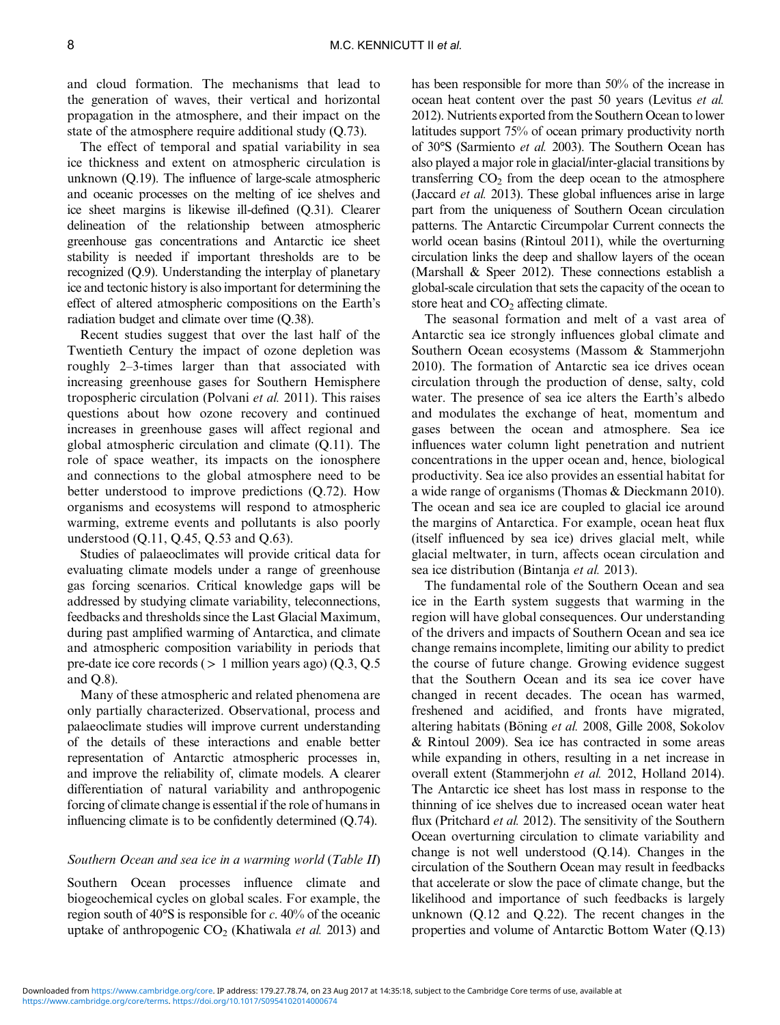and cloud formation. The mechanisms that lead to the generation of waves, their vertical and horizontal propagation in the atmosphere, and their impact on the state of the atmosphere require additional study (Q.73).

The effect of temporal and spatial variability in sea ice thickness and extent on atmospheric circulation is unknown (Q.19). The influence of large-scale atmospheric and oceanic processes on the melting of ice shelves and ice sheet margins is likewise ill-defined (Q.31). Clearer delineation of the relationship between atmospheric greenhouse gas concentrations and Antarctic ice sheet stability is needed if important thresholds are to be recognized (Q.9). Understanding the interplay of planetary ice and tectonic history is also important for determining the effect of altered atmospheric compositions on the Earth's radiation budget and climate over time (Q.38).

Recent studies suggest that over the last half of the Twentieth Century the impact of ozone depletion was roughly 2–3-times larger than that associated with increasing greenhouse gases for Southern Hemisphere tropospheric circulation (Polvani et al. [2011\)](#page-14-0). This raises questions about how ozone recovery and continued increases in greenhouse gases will affect regional and global atmospheric circulation and climate (Q.11). The role of space weather, its impacts on the ionosphere and connections to the global atmosphere need to be better understood to improve predictions (Q.72). How organisms and ecosystems will respond to atmospheric warming, extreme events and pollutants is also poorly understood (Q.11, Q.45, Q.53 and Q.63).

Studies of palaeoclimates will provide critical data for evaluating climate models under a range of greenhouse gas forcing scenarios. Critical knowledge gaps will be addressed by studying climate variability, teleconnections, feedbacks and thresholds since the Last Glacial Maximum, during past amplified warming of Antarctica, and climate and atmospheric composition variability in periods that pre-date ice core records ( $> 1$  million years ago) (Q.3, Q.5 and Q.8).

Many of these atmospheric and related phenomena are only partially characterized. Observational, process and palaeoclimate studies will improve current understanding of the details of these interactions and enable better representation of Antarctic atmospheric processes in, and improve the reliability of, climate models. A clearer differentiation of natural variability and anthropogenic forcing of climate change is essential if the role of humans in influencing climate is to be confidently determined (Q.74).

## Southern Ocean and sea ice in a warming world ([Table II](#page-4-0))

Southern Ocean processes influence climate and biogeochemical cycles on global scales. For example, the region south of 40 $\degree$ S is responsible for c. 40% of the oceanic uptake of anthropogenic  $CO<sub>2</sub>$  (Khatiwala *et al.* [2013\)](#page-14-0) and has been responsible for more than 50% of the increase in ocean heat content over the past 50 years (Levitus et al. [2012\)](#page-14-0). Nutrients exported from the Southern Ocean to lower latitudes support 75% of ocean primary productivity north of 30°S (Sarmiento et al. [2003\)](#page-15-0). The Southern Ocean has also played a major role in glacial/inter-glacial transitions by transferring  $CO<sub>2</sub>$  from the deep ocean to the atmosphere (Jaccard et al. [2013](#page-14-0)). These global influences arise in large part from the uniqueness of Southern Ocean circulation patterns. The Antarctic Circumpolar Current connects the world ocean basins (Rintoul [2011](#page-15-0)), while the overturning circulation links the deep and shallow layers of the ocean (Marshall & Speer [2012\)](#page-14-0). These connections establish a global-scale circulation that sets the capacity of the ocean to store heat and  $CO<sub>2</sub>$  affecting climate.

The seasonal formation and melt of a vast area of Antarctic sea ice strongly influences global climate and Southern Ocean ecosystems (Massom & Stammerjohn [2010](#page-14-0)). The formation of Antarctic sea ice drives ocean circulation through the production of dense, salty, cold water. The presence of sea ice alters the Earth's albedo and modulates the exchange of heat, momentum and gases between the ocean and atmosphere. Sea ice influences water column light penetration and nutrient concentrations in the upper ocean and, hence, biological productivity. Sea ice also provides an essential habitat for a wide range of organisms (Thomas & Dieckmann [2010](#page-15-0)). The ocean and sea ice are coupled to glacial ice around the margins of Antarctica. For example, ocean heat flux (itself influenced by sea ice) drives glacial melt, while glacial meltwater, in turn, affects ocean circulation and sea ice distribution (Bintanja et al. [2013](#page-13-0)).

The fundamental role of the Southern Ocean and sea ice in the Earth system suggests that warming in the region will have global consequences. Our understanding of the drivers and impacts of Southern Ocean and sea ice change remains incomplete, limiting our ability to predict the course of future change. Growing evidence suggest that the Southern Ocean and its sea ice cover have changed in recent decades. The ocean has warmed, freshened and acidified, and fronts have migrated, altering habitats (Böning et al. [2008,](#page-13-0) Gille [2008](#page-14-0), Sokolov & Rintoul [2009](#page-15-0)). Sea ice has contracted in some areas while expanding in others, resulting in a net increase in overall extent (Stammerjohn et al. [2012](#page-15-0), Holland [2014\)](#page-14-0). The Antarctic ice sheet has lost mass in response to the thinning of ice shelves due to increased ocean water heat flux (Pritchard et al. [2012](#page-14-0)). The sensitivity of the Southern Ocean overturning circulation to climate variability and change is not well understood (Q.14). Changes in the circulation of the Southern Ocean may result in feedbacks that accelerate or slow the pace of climate change, but the likelihood and importance of such feedbacks is largely unknown (Q.12 and Q.22). The recent changes in the properties and volume of Antarctic Bottom Water (Q.13)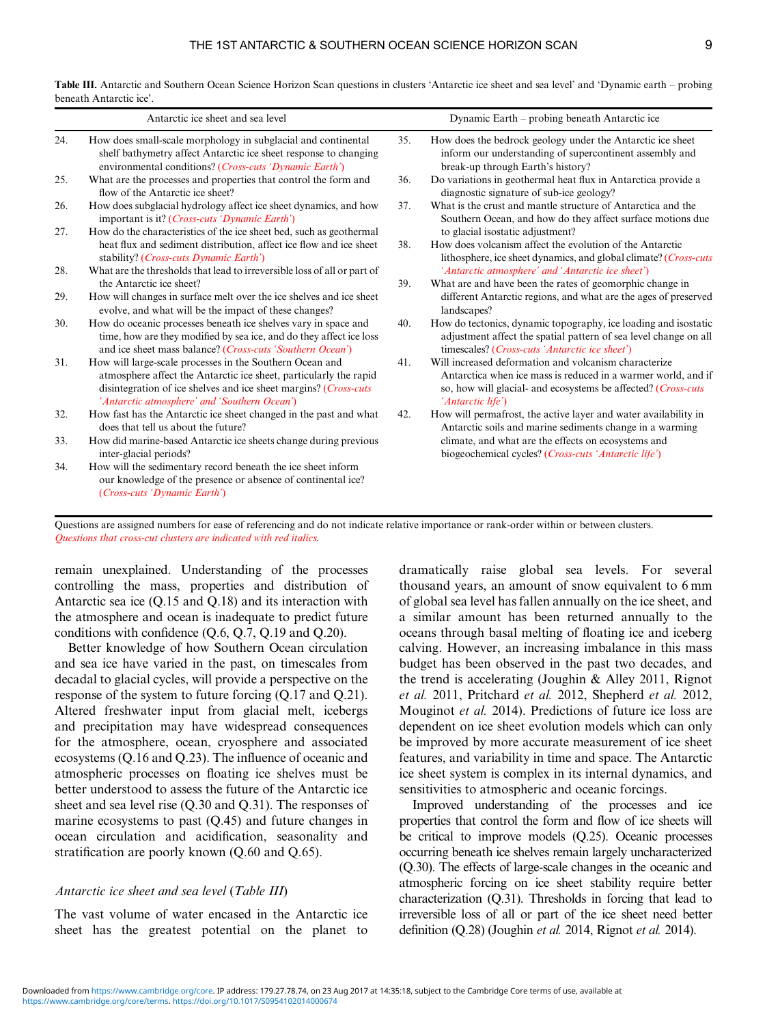<span id="page-6-0"></span>Table III. Antarctic and Southern Ocean Science Horizon Scan questions in clusters 'Antarctic ice sheet and sea level' and 'Dynamic earth – probing beneath Antarctic ice'.

|     | Antarctic ice sheet and sea level                                                                                                                                                                                                                 |     | Dynamic Earth – probing beneath Antarctic ice                                                                                                                                                                |
|-----|---------------------------------------------------------------------------------------------------------------------------------------------------------------------------------------------------------------------------------------------------|-----|--------------------------------------------------------------------------------------------------------------------------------------------------------------------------------------------------------------|
| 24. | How does small-scale morphology in subglacial and continental<br>shelf bathymetry affect Antarctic ice sheet response to changing<br>environmental conditions? (Cross-cuts 'Dynamic Earth')                                                       | 35. | How does the bedrock geology under the Antarctic ice sheet<br>inform our understanding of supercontinent assembly and<br>break-up through Earth's history?                                                   |
| 25. | What are the processes and properties that control the form and<br>flow of the Antarctic ice sheet?                                                                                                                                               | 36. | Do variations in geothermal heat flux in Antarctica provide a<br>diagnostic signature of sub-ice geology?                                                                                                    |
| 26. | How does subglacial hydrology affect ice sheet dynamics, and how<br>important is it? (Cross-cuts 'Dynamic Earth')                                                                                                                                 | 37. | What is the crust and mantle structure of Antarctica and the<br>Southern Ocean, and how do they affect surface motions due                                                                                   |
| 27. | How do the characteristics of the ice sheet bed, such as geothermal<br>heat flux and sediment distribution, affect ice flow and ice sheet<br>stability? (Cross-cuts Dynamic Earth')                                                               | 38. | to glacial isostatic adjustment?<br>How does volcanism affect the evolution of the Antarctic<br>lithosphere, ice sheet dynamics, and global climate? (Cross-cuts                                             |
| 28. | What are the thresholds that lead to irreversible loss of all or part of<br>the Antarctic ice sheet?                                                                                                                                              | 39. | 'Antarctic atmosphere' and 'Antarctic ice sheet')<br>What are and have been the rates of geomorphic change in                                                                                                |
| 29. | How will changes in surface melt over the ice shelves and ice sheet<br>evolve, and what will be the impact of these changes?                                                                                                                      |     | different Antarctic regions, and what are the ages of preserved<br>landscapes?                                                                                                                               |
| 30. | How do oceanic processes beneath ice shelves vary in space and<br>time, how are they modified by sea ice, and do they affect ice loss<br>and ice sheet mass balance? (Cross-cuts 'Southern Ocean')                                                | 40. | How do tectonics, dynamic topography, ice loading and isostatic<br>adjustment affect the spatial pattern of sea level change on all<br>timescales? (Cross-cuts 'Antarctic ice sheet')                        |
| 31. | How will large-scale processes in the Southern Ocean and<br>atmosphere affect the Antarctic ice sheet, particularly the rapid<br>disintegration of ice shelves and ice sheet margins? (Cross-cuts<br>'Antarctic atmosphere' and 'Southern Ocean') | 41. | Will increased deformation and volcanism characterize<br>Antarctica when ice mass is reduced in a warmer world, and if<br>so, how will glacial- and ecosystems be affected? (Cross-cuts<br>'Antarctic life') |
| 32. | How fast has the Antarctic ice sheet changed in the past and what<br>does that tell us about the future?                                                                                                                                          | 42. | How will permafrost, the active layer and water availability in<br>Antarctic soils and marine sediments change in a warming                                                                                  |
| 33. | How did marine-based Antarctic ice sheets change during previous<br>inter-glacial periods?                                                                                                                                                        |     | climate, and what are the effects on ecosystems and<br>biogeochemical cycles? (Cross-cuts 'Antarctic life')                                                                                                  |
| 34. | How will the sedimentary record beneath the ice sheet inform<br>our knowledge of the presence or absence of continental ice?<br>(Cross-cuts 'Dynamic Earth')                                                                                      |     |                                                                                                                                                                                                              |

Questions are assigned numbers for ease of referencing and do not indicate relative importance or rank-order within or between clusters. Questions that cross-cut clusters are indicated with red italics.

remain unexplained. Understanding of the processes controlling the mass, properties and distribution of Antarctic sea ice (Q.15 and Q.18) and its interaction with the atmosphere and ocean is inadequate to predict future conditions with confidence (Q.6, Q.7, Q.19 and Q.20).

Better knowledge of how Southern Ocean circulation and sea ice have varied in the past, on timescales from decadal to glacial cycles, will provide a perspective on the response of the system to future forcing (Q.17 and Q.21). Altered freshwater input from glacial melt, icebergs and precipitation may have widespread consequences for the atmosphere, ocean, cryosphere and associated ecosystems (Q.16 and Q.23). The influence of oceanic and atmospheric processes on floating ice shelves must be better understood to assess the future of the Antarctic ice sheet and sea level rise (Q.30 and Q.31). The responses of marine ecosystems to past (Q.45) and future changes in ocean circulation and acidification, seasonality and stratification are poorly known (Q.60 and Q.65).

## Antarctic ice sheet and sea level (Table III)

The vast volume of water encased in the Antarctic ice sheet has the greatest potential on the planet to dramatically raise global sea levels. For several thousand years, an amount of snow equivalent to 6 mm of global sea level has fallen annually on the ice sheet, and a similar amount has been returned annually to the oceans through basal melting of floating ice and iceberg calving. However, an increasing imbalance in this mass budget has been observed in the past two decades, and the trend is accelerating (Joughin & Alley [2011](#page-14-0), Rignot et al. [2011](#page-15-0), Pritchard et al. [2012,](#page-14-0) Shepherd et al. [2012](#page-15-0), Mouginot *et al.* [2014\)](#page-14-0). Predictions of future ice loss are dependent on ice sheet evolution models which can only be improved by more accurate measurement of ice sheet features, and variability in time and space. The Antarctic ice sheet system is complex in its internal dynamics, and sensitivities to atmospheric and oceanic forcings.

Improved understanding of the processes and ice properties that control the form and flow of ice sheets will be critical to improve models (Q.25). Oceanic processes occurring beneath ice shelves remain largely uncharacterized (Q.30). The effects of large-scale changes in the oceanic and atmospheric forcing on ice sheet stability require better characterization (Q.31). Thresholds in forcing that lead to irreversible loss of all or part of the ice sheet need better definition (Q.28) (Joughin et al. [2014](#page-14-0), Rignot et al. [2014\)](#page-15-0).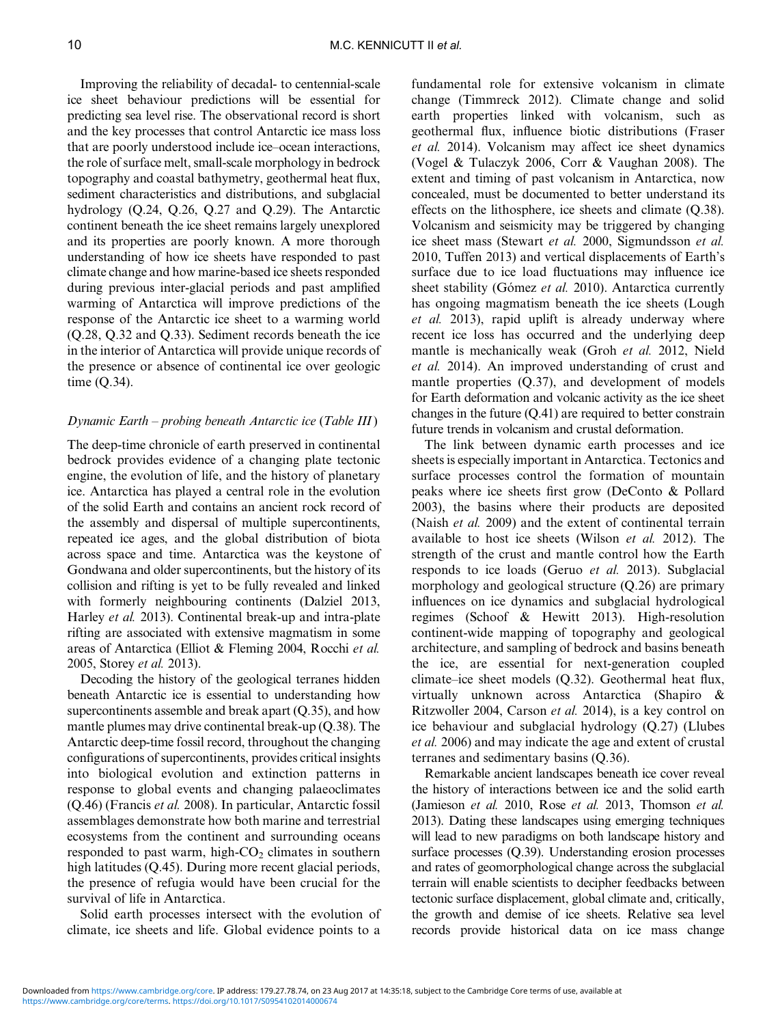Improving the reliability of decadal- to centennial-scale ice sheet behaviour predictions will be essential for predicting sea level rise. The observational record is short and the key processes that control Antarctic ice mass loss that are poorly understood include ice–ocean interactions, the role of surface melt, small-scale morphology in bedrock topography and coastal bathymetry, geothermal heat flux, sediment characteristics and distributions, and subglacial hydrology (Q.24, Q.26, Q.27 and Q.29). The Antarctic continent beneath the ice sheet remains largely unexplored and its properties are poorly known. A more thorough understanding of how ice sheets have responded to past climate change and how marine-based ice sheets responded during previous inter-glacial periods and past amplified warming of Antarctica will improve predictions of the response of the Antarctic ice sheet to a warming world (Q.28, Q.32 and Q.33). Sediment records beneath the ice in the interior of Antarctica will provide unique records of the presence or absence of continental ice over geologic time (Q.34).

# Dynamic Earth – probing beneath Antarctic ice ([Table III](#page-6-0))

The deep-time chronicle of earth preserved in continental bedrock provides evidence of a changing plate tectonic engine, the evolution of life, and the history of planetary ice. Antarctica has played a central role in the evolution of the solid Earth and contains an ancient rock record of the assembly and dispersal of multiple supercontinents, repeated ice ages, and the global distribution of biota across space and time. Antarctica was the keystone of Gondwana and older supercontinents, but the history of its collision and rifting is yet to be fully revealed and linked with formerly neighbouring continents (Dalziel [2013,](#page-13-0) Harley et al. [2013\)](#page-14-0). Continental break-up and intra-plate rifting are associated with extensive magmatism in some areas of Antarctica (Elliot & Fleming [2004](#page-13-0), Rocchi et al. [2005,](#page-15-0) Storey et al. [2013\)](#page-15-0).

Decoding the history of the geological terranes hidden beneath Antarctic ice is essential to understanding how supercontinents assemble and break apart (Q.35), and how mantle plumes may drive continental break-up (Q.38). The Antarctic deep-time fossil record, throughout the changing configurations of supercontinents, provides critical insights into biological evolution and extinction patterns in response to global events and changing palaeoclimates (Q.46) (Francis et al. [2008](#page-13-0)). In particular, Antarctic fossil assemblages demonstrate how both marine and terrestrial ecosystems from the continent and surrounding oceans responded to past warm, high- $CO<sub>2</sub>$  climates in southern high latitudes (Q.45). During more recent glacial periods, the presence of refugia would have been crucial for the survival of life in Antarctica.

Solid earth processes intersect with the evolution of climate, ice sheets and life. Global evidence points to a fundamental role for extensive volcanism in climate change (Timmreck [2012](#page-15-0)). Climate change and solid earth properties linked with volcanism, such as geothermal flux, influence biotic distributions (Fraser et al. [2014](#page-13-0)). Volcanism may affect ice sheet dynamics (Vogel & Tulaczyk [2006](#page-15-0), Corr & Vaughan [2008\)](#page-13-0). The extent and timing of past volcanism in Antarctica, now concealed, must be documented to better understand its effects on the lithosphere, ice sheets and climate (Q.38). Volcanism and seismicity may be triggered by changing ice sheet mass (Stewart et al. [2000,](#page-15-0) Sigmundsson et al. [2010](#page-15-0), Tuffen [2013](#page-15-0)) and vertical displacements of Earth's surface due to ice load fluctuations may influence ice sheet stability (Gómez et al. [2010](#page-14-0)). Antarctica currently has ongoing magmatism beneath the ice sheets (Lough et al. [2013\)](#page-14-0), rapid uplift is already underway where recent ice loss has occurred and the underlying deep mantle is mechanically weak (Groh et al. [2012,](#page-14-0) Nield et al. [2014](#page-14-0)). An improved understanding of crust and mantle properties (O.37), and development of models for Earth deformation and volcanic activity as the ice sheet changes in the future (Q.41) are required to better constrain future trends in volcanism and crustal deformation.

The link between dynamic earth processes and ice sheets is especially important in Antarctica. Tectonics and surface processes control the formation of mountain peaks where ice sheets first grow (DeConto & Pollard [2003](#page-13-0)), the basins where their products are deposited (Naish et al. [2009\)](#page-14-0) and the extent of continental terrain available to host ice sheets (Wilson et al. [2012](#page-15-0)). The strength of the crust and mantle control how the Earth responds to ice loads (Geruo et al. [2013\)](#page-14-0). Subglacial morphology and geological structure (Q.26) are primary influences on ice dynamics and subglacial hydrological regimes (Schoof & Hewitt [2013\)](#page-15-0). High-resolution continent-wide mapping of topography and geological architecture, and sampling of bedrock and basins beneath the ice, are essential for next-generation coupled climate–ice sheet models (Q.32). Geothermal heat flux, virtually unknown across Antarctica (Shapiro & Ritzwoller [2004](#page-15-0), Carson et al. [2014\)](#page-13-0), is a key control on ice behaviour and subglacial hydrology (Q.27) (Llubes et al. [2006\)](#page-14-0) and may indicate the age and extent of crustal terranes and sedimentary basins (Q.36).

Remarkable ancient landscapes beneath ice cover reveal the history of interactions between ice and the solid earth (Jamieson et al. [2010,](#page-14-0) Rose et al. [2013](#page-15-0), Thomson et al. 2013). Dating these landscapes using emerging techniques will lead to new paradigms on both landscape history and surface processes (Q.39). Understanding erosion processes and rates of geomorphological change across the subglacial terrain will enable scientists to decipher feedbacks between tectonic surface displacement, global climate and, critically, the growth and demise of ice sheets. Relative sea level records provide historical data on ice mass change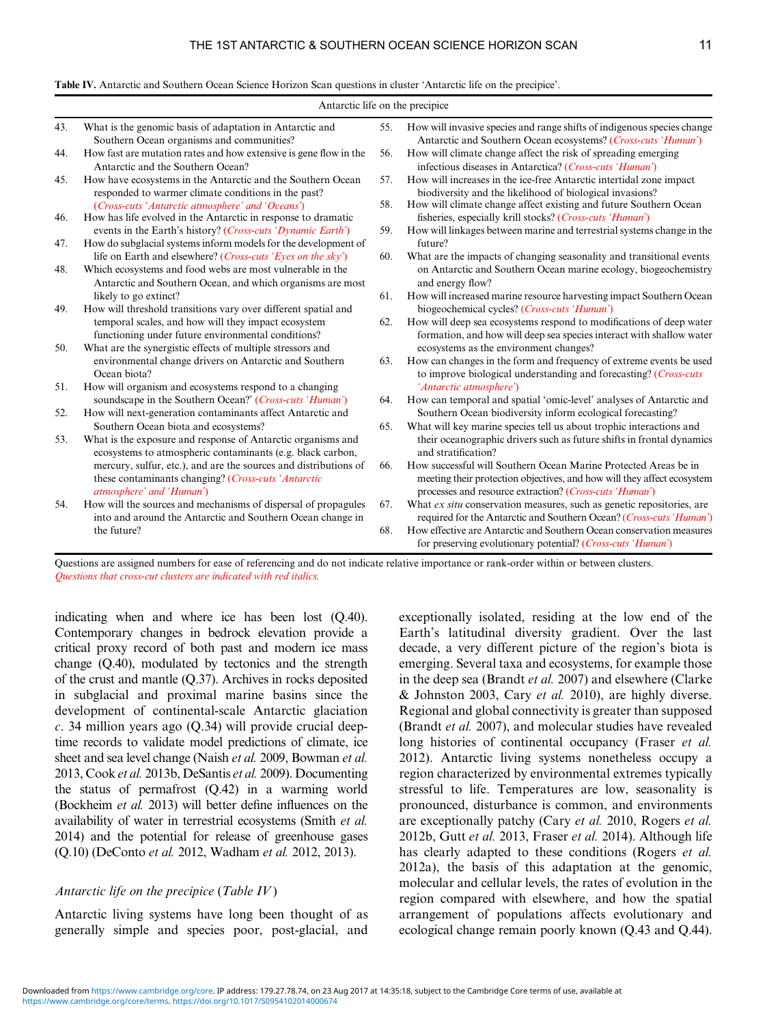|  | Table IV. Antarctic and Southern Ocean Science Horizon Scan questions in cluster 'Antarctic life on the precipice'. |  |
|--|---------------------------------------------------------------------------------------------------------------------|--|
|--|---------------------------------------------------------------------------------------------------------------------|--|

|     | Antarctic life on the precipice                                                                                                                                                        |            |                                                                                                                                                                                                       |
|-----|----------------------------------------------------------------------------------------------------------------------------------------------------------------------------------------|------------|-------------------------------------------------------------------------------------------------------------------------------------------------------------------------------------------------------|
| 43. | What is the genomic basis of adaptation in Antarctic and<br>Southern Ocean organisms and communities?                                                                                  | 55.        | How will invasive species and range shifts of indigenous species change<br>Antarctic and Southern Ocean ecosystems? (Cross-cuts 'Human')                                                              |
| 44. | How fast are mutation rates and how extensive is gene flow in the<br>Antarctic and the Southern Ocean?                                                                                 | 56.        | How will climate change affect the risk of spreading emerging<br>infectious diseases in Antarctica? (Cross-cuts 'Human')                                                                              |
| 45. | How have ecosystems in the Antarctic and the Southern Ocean<br>responded to warmer climate conditions in the past?                                                                     | 57.        | How will increases in the ice-free Antarctic intertidal zone impact<br>biodiversity and the likelihood of biological invasions?                                                                       |
| 46. | (Cross-cuts 'Antarctic atmosphere' and 'Oceans')<br>How has life evolved in the Antarctic in response to dramatic                                                                      | 58.<br>59. | How will climate change affect existing and future Southern Ocean<br>fisheries, especially krill stocks? (Cross-cuts 'Human')                                                                         |
| 47. | events in the Earth's history? (Cross-cuts 'Dynamic Earth')<br>How do subglacial systems inform models for the development of                                                          |            | How will linkages between marine and terrestrial systems change in the<br>future?                                                                                                                     |
| 48. | life on Earth and elsewhere? (Cross-cuts 'Eyes on the sky')<br>Which ecosystems and food webs are most vulnerable in the<br>Antarctic and Southern Ocean, and which organisms are most | 60.        | What are the impacts of changing seasonality and transitional events<br>on Antarctic and Southern Ocean marine ecology, biogeochemistry<br>and energy flow?                                           |
|     | likely to go extinct?                                                                                                                                                                  | 61.        | How will increased marine resource harvesting impact Southern Ocean                                                                                                                                   |
| 49. | How will threshold transitions vary over different spatial and<br>temporal scales, and how will they impact ecosystem<br>functioning under future environmental conditions?            | 62.        | biogeochemical cycles? (Cross-cuts 'Human')<br>How will deep sea ecosystems respond to modifications of deep water<br>formation, and how will deep sea species interact with shallow water            |
| 50. | What are the synergistic effects of multiple stressors and<br>environmental change drivers on Antarctic and Southern<br>Ocean biota?                                                   | 63.        | ecosystems as the environment changes?<br>How can changes in the form and frequency of extreme events be used<br>to improve biological understanding and forecasting? (Cross-cuts                     |
| 51. | How will organism and ecosystems respond to a changing                                                                                                                                 |            | 'Antarctic atmosphere')                                                                                                                                                                               |
| 52. | soundscape in the Southern Ocean?' (Cross-cuts 'Human')<br>How will next-generation contaminants affect Antarctic and                                                                  | 64.        | How can temporal and spatial 'omic-level' analyses of Antarctic and<br>Southern Ocean biodiversity inform ecological forecasting?                                                                     |
|     | Southern Ocean biota and ecosystems?                                                                                                                                                   | 65.        | What will key marine species tell us about trophic interactions and                                                                                                                                   |
| 53. | What is the exposure and response of Antarctic organisms and<br>ecosystems to atmospheric contaminants (e.g. black carbon,                                                             |            | their oceanographic drivers such as future shifts in frontal dynamics<br>and stratification?                                                                                                          |
|     | mercury, sulfur, etc.), and are the sources and distributions of<br>these contaminants changing? (Cross-cuts 'Antarctic<br>atmosphere' and 'Human')                                    | 66.        | How successful will Southern Ocean Marine Protected Areas be in<br>meeting their protection objectives, and how will they affect ecosystem<br>processes and resource extraction? (Cross-cuts 'Human') |
| 54. | How will the sources and mechanisms of dispersal of propagules<br>into and around the Antarctic and Southern Ocean change in                                                           | 67.        | What ex situ conservation measures, such as genetic repositories, are<br>required for the Antarctic and Southern Ocean? (Cross-cuts 'Human')                                                          |
|     | the future?                                                                                                                                                                            | 68.        | How effective are Antarctic and Southern Ocean conservation measures<br>for preserving evolutionary potential? (Cross-cuts 'Human')                                                                   |

Questions are assigned numbers for ease of referencing and do not indicate relative importance or rank-order within or between clusters. Questions that cross-cut clusters are indicated with red italics.

indicating when and where ice has been lost (Q.40). Contemporary changes in bedrock elevation provide a critical proxy record of both past and modern ice mass change (Q.40), modulated by tectonics and the strength of the crust and mantle (Q.37). Archives in rocks deposited in subglacial and proximal marine basins since the development of continental-scale Antarctic glaciation c. 34 million years ago (Q.34) will provide crucial deeptime records to validate model predictions of climate, ice sheet and sea level change (Naish et al. [2009,](#page-14-0) Bowman et al. 2013, Cook et al. 2013b, DeSantis et al. [2009\)](#page-13-0). Documenting the status of permafrost (Q.42) in a warming world (Bockheim et al. [2013\)](#page-13-0) will better define influences on the availability of water in terrestrial ecosystems (Smith et al. [2014](#page-15-0)) and the potential for release of greenhouse gases (Q.10) (DeConto et al. [2012](#page-13-0), Wadham et al. [2012](#page-15-0), [2013\)](#page-15-0).

#### Antarctic life on the precipice  $(Table IV)$

Antarctic living systems have long been thought of as generally simple and species poor, post-glacial, and exceptionally isolated, residing at the low end of the Earth's latitudinal diversity gradient. Over the last decade, a very different picture of the region's biota is emerging. Several taxa and ecosystems, for example those in the deep sea (Brandt et al. [2007\)](#page-13-0) and elsewhere (Clarke & Johnston [2003](#page-13-0), Cary et al. [2010](#page-13-0)), are highly diverse. Regional and global connectivity is greater than supposed (Brandt et al. [2007\)](#page-13-0), and molecular studies have revealed long histories of continental occupancy (Fraser et al. [2012\)](#page-13-0). Antarctic living systems nonetheless occupy a region characterized by environmental extremes typically stressful to life. Temperatures are low, seasonality is pronounced, disturbance is common, and environments are exceptionally patchy (Cary et al. [2010,](#page-13-0) Rogers et al. [2012b](#page-15-0), Gutt et al. [2013](#page-14-0), Fraser et al. [2014\)](#page-13-0). Although life has clearly adapted to these conditions (Rogers et al. [2012a\)](#page-15-0), the basis of this adaptation at the genomic, molecular and cellular levels, the rates of evolution in the region compared with elsewhere, and how the spatial arrangement of populations affects evolutionary and ecological change remain poorly known (Q.43 and Q.44).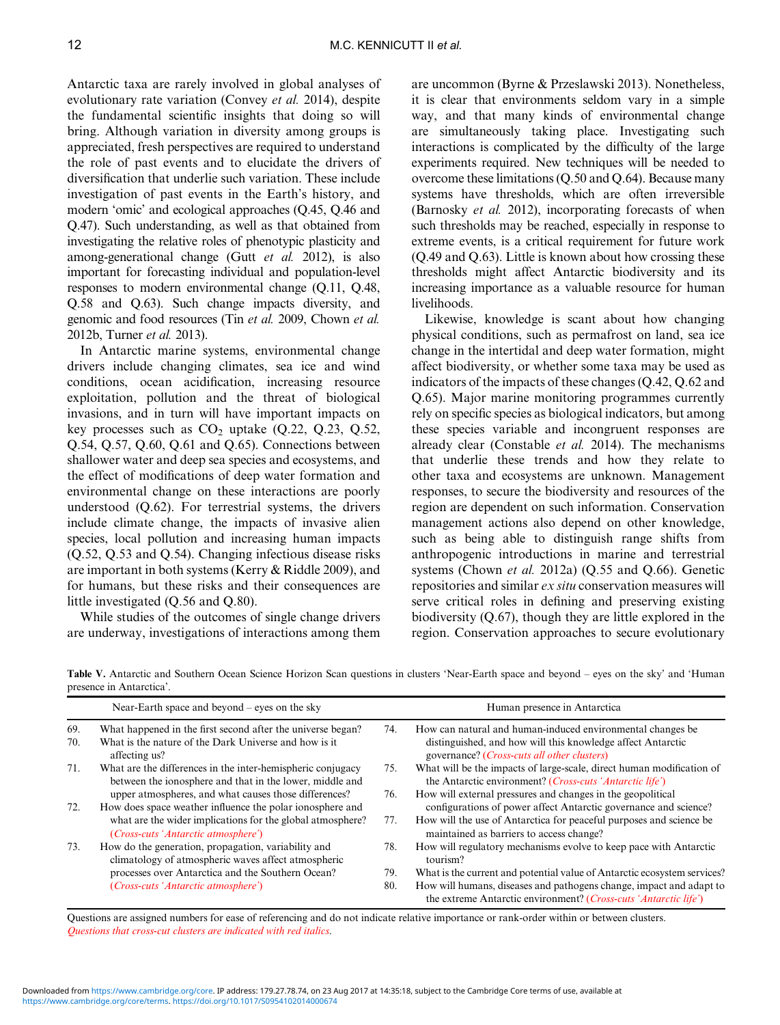<span id="page-9-0"></span>Antarctic taxa are rarely involved in global analyses of evolutionary rate variation (Convey et al. [2014](#page-13-0)), despite the fundamental scientific insights that doing so will bring. Although variation in diversity among groups is appreciated, fresh perspectives are required to understand the role of past events and to elucidate the drivers of diversification that underlie such variation. These include investigation of past events in the Earth's history, and modern 'omic' and ecological approaches (Q.45, Q.46 and Q.47). Such understanding, as well as that obtained from investigating the relative roles of phenotypic plasticity and among-generational change (Gutt et al. [2012](#page-14-0)), is also important for forecasting individual and population-level responses to modern environmental change (Q.11, Q.48, Q.58 and Q.63). Such change impacts diversity, and genomic and food resources (Tin et al. [2009,](#page-15-0) Chown et al. [2012b,](#page-13-0) Turner et al. [2013](#page-15-0)).

In Antarctic marine systems, environmental change drivers include changing climates, sea ice and wind conditions, ocean acidification, increasing resource exploitation, pollution and the threat of biological invasions, and in turn will have important impacts on key processes such as  $CO<sub>2</sub>$  uptake  $(Q.22, Q.23, Q.52, Q.52)$ Q.54, Q.57, Q.60, Q.61 and Q.65). Connections between shallower water and deep sea species and ecosystems, and the effect of modifications of deep water formation and environmental change on these interactions are poorly understood (Q.62). For terrestrial systems, the drivers include climate change, the impacts of invasive alien species, local pollution and increasing human impacts (Q.52, Q.53 and Q.54). Changing infectious disease risks are important in both systems (Kerry & Riddle [2009\)](#page-14-0), and for humans, but these risks and their consequences are little investigated (Q.56 and Q.80).

While studies of the outcomes of single change drivers are underway, investigations of interactions among them are uncommon (Byrne & Przeslawski [2013\)](#page-13-0). Nonetheless, it is clear that environments seldom vary in a simple way, and that many kinds of environmental change are simultaneously taking place. Investigating such interactions is complicated by the difficulty of the large experiments required. New techniques will be needed to overcome these limitations (Q.50 and Q.64). Because many systems have thresholds, which are often irreversible (Barnosky et al. [2012](#page-13-0)), incorporating forecasts of when such thresholds may be reached, especially in response to extreme events, is a critical requirement for future work (Q.49 and Q.63). Little is known about how crossing these thresholds might affect Antarctic biodiversity and its increasing importance as a valuable resource for human livelihoods.

Likewise, knowledge is scant about how changing physical conditions, such as permafrost on land, sea ice change in the intertidal and deep water formation, might affect biodiversity, or whether some taxa may be used as indicators of the impacts of these changes (Q.42, Q.62 and Q.65). Major marine monitoring programmes currently rely on specific species as biological indicators, but among these species variable and incongruent responses are already clear (Constable et al. [2014](#page-13-0)). The mechanisms that underlie these trends and how they relate to other taxa and ecosystems are unknown. Management responses, to secure the biodiversity and resources of the region are dependent on such information. Conservation management actions also depend on other knowledge, such as being able to distinguish range shifts from anthropogenic introductions in marine and terrestrial systems (Chown et al. [2012a](#page-13-0)) (Q.55 and Q.66). Genetic repositories and similar ex situ conservation measures will serve critical roles in defining and preserving existing biodiversity (Q.67), though they are little explored in the region. Conservation approaches to secure evolutionary

Table V. Antarctic and Southern Ocean Science Horizon Scan questions in clusters 'Near-Earth space and beyond – eyes on the sky' and 'Human presence in Antarctica'.

|     | Near-Earth space and beyond $-$ eyes on the sky                                                                         |     | Human presence in Antarctica                                                                                                            |
|-----|-------------------------------------------------------------------------------------------------------------------------|-----|-----------------------------------------------------------------------------------------------------------------------------------------|
| 69. | What happened in the first second after the universe began?                                                             | 74. | How can natural and human-induced environmental changes be                                                                              |
| 70. | What is the nature of the Dark Universe and how is it<br>affecting us?                                                  |     | distinguished, and how will this knowledge affect Antarctic<br>governance? ( <i>Cross-cuts all other clusters</i> )                     |
| 71. | What are the differences in the inter-hemispheric conjugacy<br>between the ionosphere and that in the lower, middle and | 75. | What will be the impacts of large-scale, direct human modification of<br>the Antarctic environment? (Cross-cuts 'Antarctic life')       |
|     | upper atmospheres, and what causes those differences?                                                                   | 76. | How will external pressures and changes in the geopolitical                                                                             |
| 72. | How does space weather influence the polar ionosphere and                                                               |     | configurations of power affect Antarctic governance and science?                                                                        |
|     | what are the wider implications for the global atmosphere?<br>(Cross-cuts 'Antarctic atmosphere')                       | 77. | How will the use of Antarctica for peaceful purposes and science be<br>maintained as barriers to access change?                         |
| 73. | How do the generation, propagation, variability and<br>climatology of atmospheric waves affect atmospheric              | 78. | How will regulatory mechanisms evolve to keep pace with Antarctic<br>tourism?                                                           |
|     | processes over Antarctica and the Southern Ocean?                                                                       | 79. | What is the current and potential value of Antarctic ecosystem services?                                                                |
|     | (Cross-cuts 'Antarctic atmosphere')                                                                                     | 80. | How will humans, diseases and pathogens change, impact and adapt to<br>the extreme Antarctic environment? (Cross-cuts 'Antarctic life') |

Questions are assigned numbers for ease of referencing and do not indicate relative importance or rank-order within or between clusters. Questions that cross-cut clusters are indicated with red italics.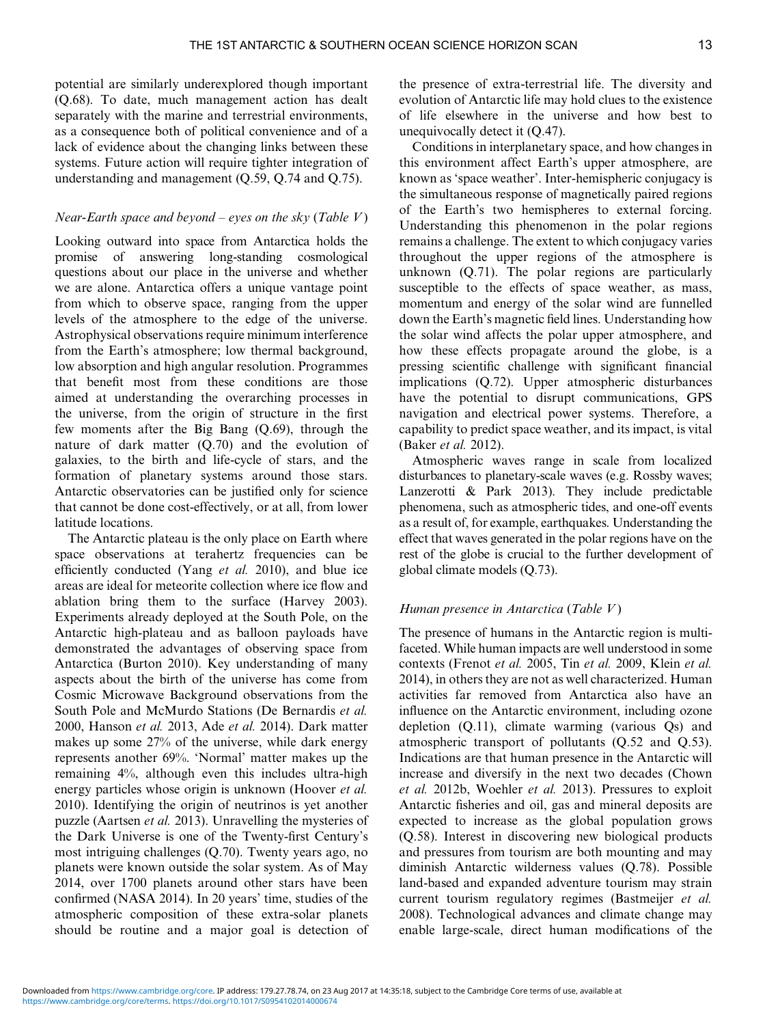potential are similarly underexplored though important (Q.68). To date, much management action has dealt separately with the marine and terrestrial environments, as a consequence both of political convenience and of a lack of evidence about the changing links between these systems. Future action will require tighter integration of understanding and management (Q.59, Q.74 and Q.75).

## Near-Earth space and beyond – eyes on the sky ([Table V](#page-9-0))

Looking outward into space from Antarctica holds the promise of answering long-standing cosmological questions about our place in the universe and whether we are alone. Antarctica offers a unique vantage point from which to observe space, ranging from the upper levels of the atmosphere to the edge of the universe. Astrophysical observations require minimum interference from the Earth's atmosphere; low thermal background, low absorption and high angular resolution. Programmes that benefit most from these conditions are those aimed at understanding the overarching processes in the universe, from the origin of structure in the first few moments after the Big Bang (Q.69), through the nature of dark matter (Q.70) and the evolution of galaxies, to the birth and life-cycle of stars, and the formation of planetary systems around those stars. Antarctic observatories can be justified only for science that cannot be done cost-effectively, or at all, from lower latitude locations.

The Antarctic plateau is the only place on Earth where space observations at terahertz frequencies can be efficiently conducted (Yang et al. [2010](#page-15-0)), and blue ice areas are ideal for meteorite collection where ice flow and ablation bring them to the surface (Harvey [2003\)](#page-14-0). Experiments already deployed at the South Pole, on the Antarctic high-plateau and as balloon payloads have demonstrated the advantages of observing space from Antarctica (Burton [2010](#page-13-0)). Key understanding of many aspects about the birth of the universe has come from Cosmic Microwave Background observations from the South Pole and McMurdo Stations (De Bernardis et al. [2000,](#page-13-0) Hanson et al. [2013](#page-14-0), Ade et al. [2014\)](#page-13-0). Dark matter makes up some 27% of the universe, while dark energy represents another 69%. 'Normal' matter makes up the remaining 4%, although even this includes ultra-high energy particles whose origin is unknown (Hoover *et al.*) [2010\)](#page-14-0). Identifying the origin of neutrinos is yet another puzzle (Aartsen et al. [2013](#page-13-0)). Unravelling the mysteries of the Dark Universe is one of the Twenty-first Century's most intriguing challenges (Q.70). Twenty years ago, no planets were known outside the solar system. As of May 2014, over 1700 planets around other stars have been confirmed (NASA 2014). In 20 years' time, studies of the atmospheric composition of these extra-solar planets should be routine and a major goal is detection of the presence of extra-terrestrial life. The diversity and evolution of Antarctic life may hold clues to the existence of life elsewhere in the universe and how best to unequivocally detect it (Q.47).

Conditions in interplanetary space, and how changes in this environment affect Earth's upper atmosphere, are known as 'space weather'. Inter-hemispheric conjugacy is the simultaneous response of magnetically paired regions of the Earth's two hemispheres to external forcing. Understanding this phenomenon in the polar regions remains a challenge. The extent to which conjugacy varies throughout the upper regions of the atmosphere is unknown (Q.71). The polar regions are particularly susceptible to the effects of space weather, as mass, momentum and energy of the solar wind are funnelled down the Earth's magnetic field lines. Understanding how the solar wind affects the polar upper atmosphere, and how these effects propagate around the globe, is a pressing scientific challenge with significant financial implications (Q.72). Upper atmospheric disturbances have the potential to disrupt communications, GPS navigation and electrical power systems. Therefore, a capability to predict space weather, and its impact, is vital (Baker et al. [2012](#page-13-0)).

Atmospheric waves range in scale from localized disturbances to planetary-scale waves (e.g. Rossby waves; Lanzerotti & Park [2013](#page-14-0)). They include predictable phenomena, such as atmospheric tides, and one-off events as a result of, for example, earthquakes. Understanding the effect that waves generated in the polar regions have on the rest of the globe is crucial to the further development of global climate models (Q.73).

## Human presence in Antarctica (Table  $V$ )

The presence of humans in the Antarctic region is multifaceted. While human impacts are well understood in some contexts (Frenot et al. [2005](#page-14-0), Tin et al. [2009](#page-15-0), Klein et al. [2014\)](#page-14-0), in others they are not as well characterized. Human activities far removed from Antarctica also have an influence on the Antarctic environment, including ozone depletion (Q.11), climate warming (various Qs) and atmospheric transport of pollutants (Q.52 and Q.53). Indications are that human presence in the Antarctic will increase and diversify in the next two decades (Chown et al. [2012b](#page-13-0), Woehler et al. [2013](#page-15-0)). Pressures to exploit Antarctic fisheries and oil, gas and mineral deposits are expected to increase as the global population grows (Q.58). Interest in discovering new biological products and pressures from tourism are both mounting and may diminish Antarctic wilderness values (Q.78). Possible land-based and expanded adventure tourism may strain current tourism regulatory regimes (Bastmeijer et al. [2008\)](#page-13-0). Technological advances and climate change may enable large-scale, direct human modifications of the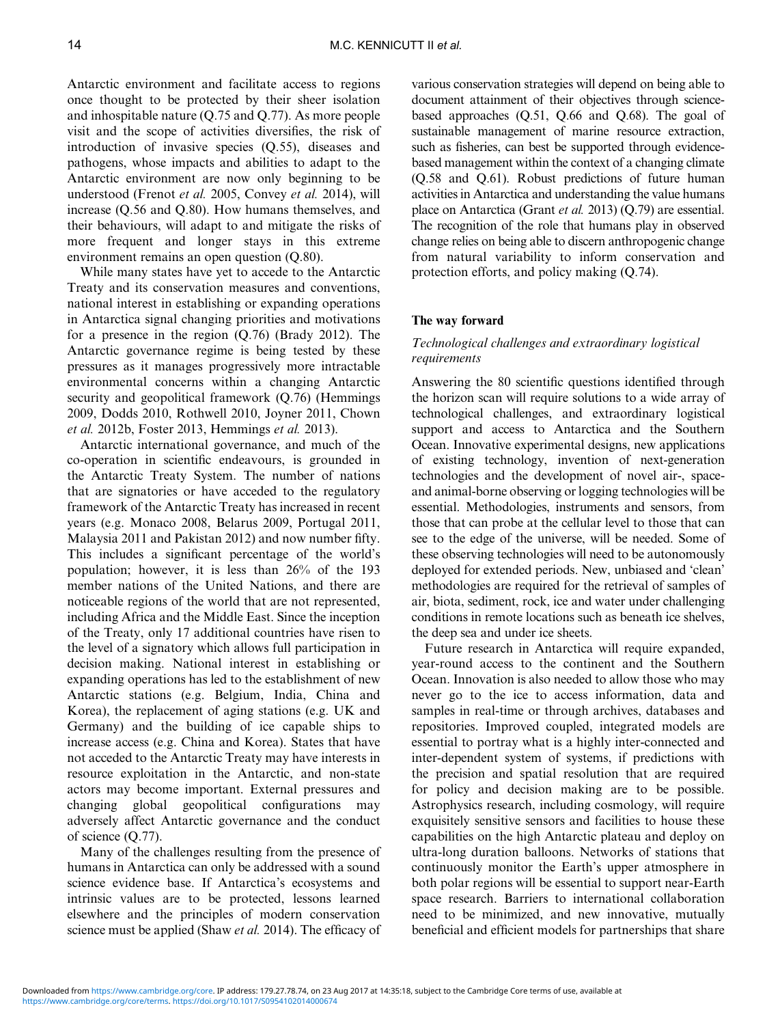Antarctic environment and facilitate access to regions once thought to be protected by their sheer isolation and inhospitable nature (Q.75 and Q.77). As more people visit and the scope of activities diversifies, the risk of introduction of invasive species (Q.55), diseases and pathogens, whose impacts and abilities to adapt to the Antarctic environment are now only beginning to be understood (Frenot et al. [2005,](#page-14-0) Convey et al. [2014](#page-13-0)), will increase (Q.56 and Q.80). How humans themselves, and their behaviours, will adapt to and mitigate the risks of more frequent and longer stays in this extreme environment remains an open question (Q.80).

While many states have yet to accede to the Antarctic Treaty and its conservation measures and conventions, national interest in establishing or expanding operations in Antarctica signal changing priorities and motivations for a presence in the region (Q.76) (Brady [2012\)](#page-13-0). The Antarctic governance regime is being tested by these pressures as it manages progressively more intractable environmental concerns within a changing Antarctic security and geopolitical framework (Q.76) (Hemmings [2009](#page-14-0), Dodds [2010,](#page-13-0) Rothwell [2010](#page-15-0), Joyner [2011,](#page-14-0) Chown et al. [2012b](#page-13-0), Foster [2013](#page-13-0), Hemmings et al. [2013\)](#page-14-0).

Antarctic international governance, and much of the co-operation in scientific endeavours, is grounded in the Antarctic Treaty System. The number of nations that are signatories or have acceded to the regulatory framework of the Antarctic Treaty has increased in recent years (e.g. Monaco 2008, Belarus 2009, Portugal 2011, Malaysia 2011 and Pakistan 2012) and now number fifty. This includes a significant percentage of the world's population; however, it is less than 26% of the 193 member nations of the United Nations, and there are noticeable regions of the world that are not represented, including Africa and the Middle East. Since the inception of the Treaty, only 17 additional countries have risen to the level of a signatory which allows full participation in decision making. National interest in establishing or expanding operations has led to the establishment of new Antarctic stations (e.g. Belgium, India, China and Korea), the replacement of aging stations (e.g. UK and Germany) and the building of ice capable ships to increase access (e.g. China and Korea). States that have not acceded to the Antarctic Treaty may have interests in resource exploitation in the Antarctic, and non-state actors may become important. External pressures and changing global geopolitical configurations may adversely affect Antarctic governance and the conduct of science (Q.77).

Many of the challenges resulting from the presence of humans in Antarctica can only be addressed with a sound science evidence base. If Antarctica's ecosystems and intrinsic values are to be protected, lessons learned elsewhere and the principles of modern conservation science must be applied (Shaw et al. [2014](#page-15-0)). The efficacy of various conservation strategies will depend on being able to document attainment of their objectives through sciencebased approaches (Q.51, Q.66 and Q.68). The goal of sustainable management of marine resource extraction, such as fisheries, can best be supported through evidencebased management within the context of a changing climate (Q.58 and Q.61). Robust predictions of future human activities in Antarctica and understanding the value humans place on Antarctica (Grant et al. [2013](#page-14-0)) (Q.79) are essential. The recognition of the role that humans play in observed change relies on being able to discern anthropogenic change from natural variability to inform conservation and protection efforts, and policy making (Q.74).

## The way forward

# Technological challenges and extraordinary logistical requirements

Answering the 80 scientific questions identified through the horizon scan will require solutions to a wide array of technological challenges, and extraordinary logistical support and access to Antarctica and the Southern Ocean. Innovative experimental designs, new applications of existing technology, invention of next-generation technologies and the development of novel air-, spaceand animal-borne observing or logging technologies will be essential. Methodologies, instruments and sensors, from those that can probe at the cellular level to those that can see to the edge of the universe, will be needed. Some of these observing technologies will need to be autonomously deployed for extended periods. New, unbiased and 'clean' methodologies are required for the retrieval of samples of air, biota, sediment, rock, ice and water under challenging conditions in remote locations such as beneath ice shelves, the deep sea and under ice sheets.

Future research in Antarctica will require expanded, year-round access to the continent and the Southern Ocean. Innovation is also needed to allow those who may never go to the ice to access information, data and samples in real-time or through archives, databases and repositories. Improved coupled, integrated models are essential to portray what is a highly inter-connected and inter-dependent system of systems, if predictions with the precision and spatial resolution that are required for policy and decision making are to be possible. Astrophysics research, including cosmology, will require exquisitely sensitive sensors and facilities to house these capabilities on the high Antarctic plateau and deploy on ultra-long duration balloons. Networks of stations that continuously monitor the Earth's upper atmosphere in both polar regions will be essential to support near-Earth space research. Barriers to international collaboration need to be minimized, and new innovative, mutually beneficial and efficient models for partnerships that share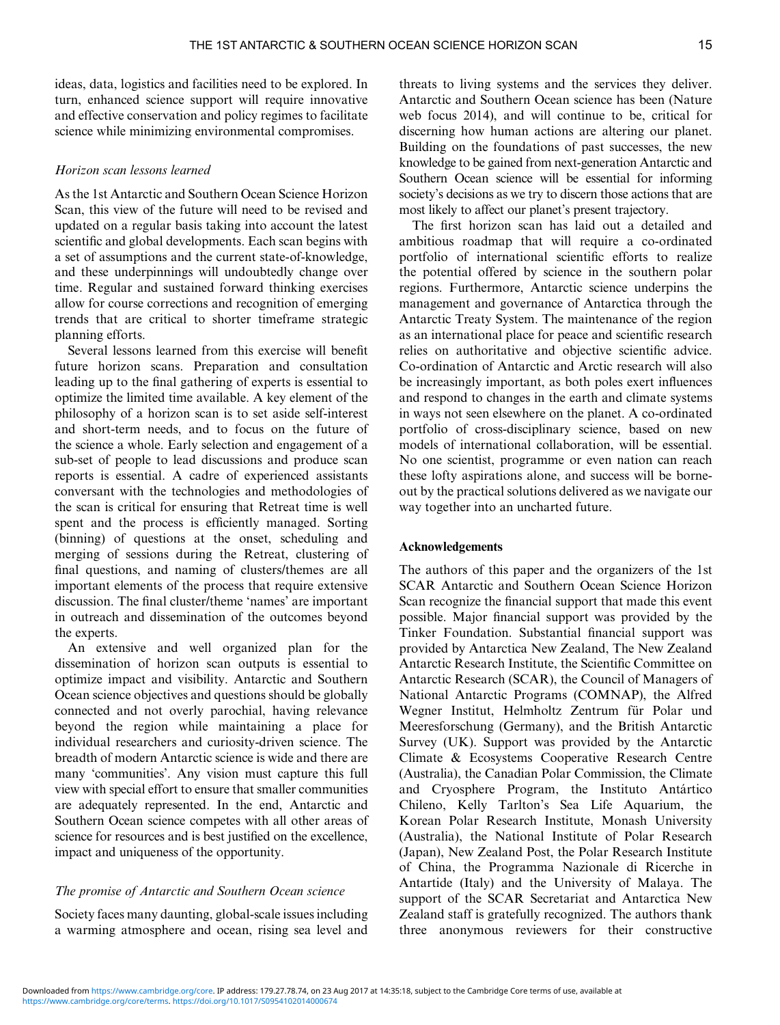ideas, data, logistics and facilities need to be explored. In turn, enhanced science support will require innovative and effective conservation and policy regimes to facilitate science while minimizing environmental compromises.

## Horizon scan lessons learned

As the 1st Antarctic and Southern Ocean Science Horizon Scan, this view of the future will need to be revised and updated on a regular basis taking into account the latest scientific and global developments. Each scan begins with a set of assumptions and the current state-of-knowledge, and these underpinnings will undoubtedly change over time. Regular and sustained forward thinking exercises allow for course corrections and recognition of emerging trends that are critical to shorter timeframe strategic planning efforts.

Several lessons learned from this exercise will benefit future horizon scans. Preparation and consultation leading up to the final gathering of experts is essential to optimize the limited time available. A key element of the philosophy of a horizon scan is to set aside self-interest and short-term needs, and to focus on the future of the science a whole. Early selection and engagement of a sub-set of people to lead discussions and produce scan reports is essential. A cadre of experienced assistants conversant with the technologies and methodologies of the scan is critical for ensuring that Retreat time is well spent and the process is efficiently managed. Sorting (binning) of questions at the onset, scheduling and merging of sessions during the Retreat, clustering of final questions, and naming of clusters/themes are all important elements of the process that require extensive discussion. The final cluster/theme 'names' are important in outreach and dissemination of the outcomes beyond the experts.

An extensive and well organized plan for the dissemination of horizon scan outputs is essential to optimize impact and visibility. Antarctic and Southern Ocean science objectives and questions should be globally connected and not overly parochial, having relevance beyond the region while maintaining a place for individual researchers and curiosity-driven science. The breadth of modern Antarctic science is wide and there are many 'communities'. Any vision must capture this full view with special effort to ensure that smaller communities are adequately represented. In the end, Antarctic and Southern Ocean science competes with all other areas of science for resources and is best justified on the excellence, impact and uniqueness of the opportunity.

#### The promise of Antarctic and Southern Ocean science

Society faces many daunting, global-scale issues including a warming atmosphere and ocean, rising sea level and threats to living systems and the services they deliver. Antarctic and Southern Ocean science has been (Nature web focus 2014), and will continue to be, critical for discerning how human actions are altering our planet. Building on the foundations of past successes, the new knowledge to be gained from next-generation Antarctic and Southern Ocean science will be essential for informing society's decisions as we try to discern those actions that are most likely to affect our planet's present trajectory.

The first horizon scan has laid out a detailed and ambitious roadmap that will require a co-ordinated portfolio of international scientific efforts to realize the potential offered by science in the southern polar regions. Furthermore, Antarctic science underpins the management and governance of Antarctica through the Antarctic Treaty System. The maintenance of the region as an international place for peace and scientific research relies on authoritative and objective scientific advice. Co-ordination of Antarctic and Arctic research will also be increasingly important, as both poles exert influences and respond to changes in the earth and climate systems in ways not seen elsewhere on the planet. A co-ordinated portfolio of cross-disciplinary science, based on new models of international collaboration, will be essential. No one scientist, programme or even nation can reach these lofty aspirations alone, and success will be borneout by the practical solutions delivered as we navigate our way together into an uncharted future.

## Acknowledgements

The authors of this paper and the organizers of the 1st SCAR Antarctic and Southern Ocean Science Horizon Scan recognize the financial support that made this event possible. Major financial support was provided by the Tinker Foundation. Substantial financial support was provided by Antarctica New Zealand, The New Zealand Antarctic Research Institute, the Scientific Committee on Antarctic Research (SCAR), the Council of Managers of National Antarctic Programs (COMNAP), the Alfred Wegner Institut, Helmholtz Zentrum für Polar und Meeresforschung (Germany), and the British Antarctic Survey (UK). Support was provided by the Antarctic Climate & Ecosystems Cooperative Research Centre (Australia), the Canadian Polar Commission, the Climate and Cryosphere Program, the Instituto Antártico Chileno, Kelly Tarlton's Sea Life Aquarium, the Korean Polar Research Institute, Monash University (Australia), the National Institute of Polar Research (Japan), New Zealand Post, the Polar Research Institute of China, the Programma Nazionale di Ricerche in Antartide (Italy) and the University of Malaya. The support of the SCAR Secretariat and Antarctica New Zealand staff is gratefully recognized. The authors thank three anonymous reviewers for their constructive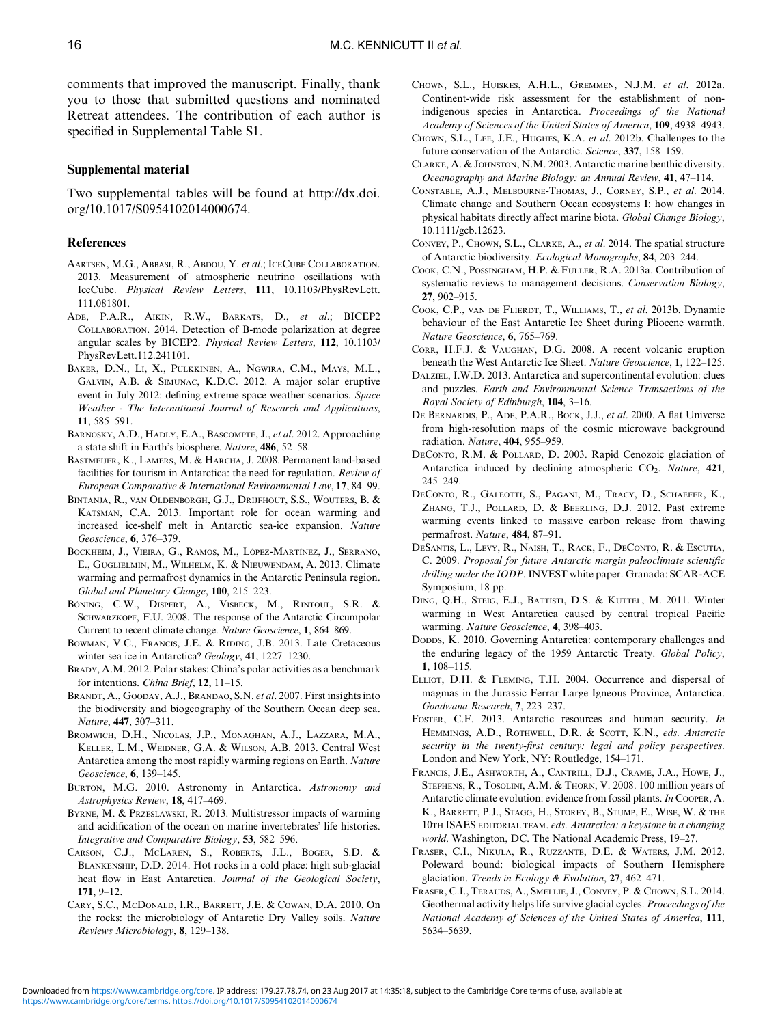<span id="page-13-0"></span>comments that improved the manuscript. Finally, thank you to those that submitted questions and nominated Retreat attendees. The contribution of each author is specified in Supplemental Table S1.

#### Supplemental material

Two supplemental tables will be found at [http://dx.doi.](http://dx.doi.org/10.1017/S0954102014000674) [org/10.1017/S0954102014000674.](http://dx.doi.org/10.1017/S0954102014000674)

## **References**

- AARTSEN, M.G., ABBASI, R., ABDOU, Y. et al.; ICECUBE COLLABORATION. 2013. Measurement of atmospheric neutrino oscillations with IceCube. Physical Review Letters, 111, 10.1103/PhysRevLett. 111.081801.
- ADE, P.A.R., AIKIN, R.W., BARKATS, D., et al.; BICEP2 COLLABORATION. 2014. Detection of B-mode polarization at degree angular scales by BICEP2. Physical Review Letters, 112, 10.1103/ PhysRevLett.112.241101.
- BAKER, D.N., LI, X., PULKKINEN, A., NGWIRA, C.M., MAYS, M.L., GALVIN, A.B. & SIMUNAC, K.D.C. 2012. A major solar eruptive event in July 2012: defining extreme space weather scenarios. Space Weather - The International Journal of Research and Applications, 11, 585–591.
- BARNOSKY, A.D., HADLY, E.A., BASCOMPTE, J., et al. 2012. Approaching a state shift in Earth's biosphere. Nature, 486, 52–58.
- BASTMEIJER, K., LAMERS, M. & HARCHA, J. 2008. Permanent land-based facilities for tourism in Antarctica: the need for regulation. Review of European Comparative & International Environmental Law, 17, 84–99.
- BINTANJA, R., VAN OLDENBORGH, G.J., DRIJFHOUT, S.S., WOUTERS, B. & KATSMAN, C.A. 2013. Important role for ocean warming and increased ice-shelf melt in Antarctic sea-ice expansion. Nature Geoscience, 6, 376–379.
- BOCKHEIM, J., VIEIRA, G., RAMOS, M., LÓPEZ-MARTÍNEZ, J., SERRANO, E., GUGLIELMIN, M., WILHELM, K. & NIEUWENDAM, A. 2013. Climate warming and permafrost dynamics in the Antarctic Peninsula region. Global and Planetary Change, 100, 215–223.
- BÖNING, C.W., DISPERT, A., VISBECK, M., RINTOUL, S.R. & SCHWARZKOPF, F.U. 2008. The response of the Antarctic Circumpolar Current to recent climate change. Nature Geoscience, 1, 864–869.
- BOWMAN, V.C., FRANCIS, J.E. & RIDING, J.B. 2013. Late Cretaceous winter sea ice in Antarctica? Geology, 41, 1227–1230.
- BRADY, A.M. 2012. Polar stakes: China's polar activities as a benchmark for intentions. China Brief, 12, 11–15.
- BRANDT, A., GOODAY, A.J., BRANDAO, S.N. et al. 2007. First insights into the biodiversity and biogeography of the Southern Ocean deep sea. Nature, 447, 307–311.
- BROMWICH, D.H., NICOLAS, J.P., MONAGHAN, A.J., LAZZARA, M.A., KELLER, L.M., WEIDNER, G.A. & WILSON, A.B. 2013. Central West Antarctica among the most rapidly warming regions on Earth. Nature Geoscience, 6, 139–145.
- BURTON, M.G. 2010. Astronomy in Antarctica. Astronomy and Astrophysics Review, 18, 417–469.
- BYRNE, M. & PRZESLAWSKI, R. 2013. Multistressor impacts of warming and acidification of the ocean on marine invertebrates' life histories. Integrative and Comparative Biology, 53, 582–596.
- CARSON, C.J., MCLAREN, S., ROBERTS, J.L., BOGER, S.D. & BLANKENSHIP, D.D. 2014. Hot rocks in a cold place: high sub-glacial heat flow in East Antarctica. Journal of the Geological Society, 171, 9–12.
- CARY, S.C., MCDONALD, I.R., BARRETT, J.E. & COWAN, D.A. 2010. On the rocks: the microbiology of Antarctic Dry Valley soils. Nature Reviews Microbiology, 8, 129–138.
- CHOWN, S.L., HUISKES, A.H.L., GREMMEN, N.J.M. et al. 2012a. Continent-wide risk assessment for the establishment of nonindigenous species in Antarctica. Proceedings of the National Academy of Sciences of the United States of America, 109, 4938–4943.
- CHOWN, S.L., LEE, J.E., HUGHES, K.A. et al. 2012b. Challenges to the future conservation of the Antarctic. Science, 337, 158–159.
- CLARKE, A. & JOHNSTON, N.M. 2003. Antarctic marine benthic diversity. Oceanography and Marine Biology: an Annual Review, 41, 47–114.
- CONSTABLE, A.J., MELBOURNE-THOMAS, J., CORNEY, S.P., et al. 2014. Climate change and Southern Ocean ecosystems I: how changes in physical habitats directly affect marine biota. Global Change Biology, 10.1111/gcb.12623.
- CONVEY, P., CHOWN, S.L., CLARKE, A., et al. 2014. The spatial structure of Antarctic biodiversity. Ecological Monographs, 84, 203–244.
- COOK, C.N., POSSINGHAM, H.P. & FULLER, R.A. 2013a. Contribution of systematic reviews to management decisions. Conservation Biology, 27, 902–915.
- COOK, C.P., VAN DE FLIERDT, T., WILLIAMS, T., et al. 2013b. Dynamic behaviour of the East Antarctic Ice Sheet during Pliocene warmth. Nature Geoscience, 6, 765–769.
- CORR, H.F.J. & VAUGHAN, D.G. 2008. A recent volcanic eruption beneath the West Antarctic Ice Sheet. Nature Geoscience, 1, 122–125.
- DALZIEL, I.W.D. 2013. Antarctica and supercontinental evolution: clues and puzzles. Earth and Environmental Science Transactions of the Royal Society of Edinburgh, 104, 3–16.
- DE BERNARDIS, P., ADE, P.A.R., BOCK, J.J., et al. 2000. A flat Universe from high-resolution maps of the cosmic microwave background radiation. Nature, 404, 955–959.
- DECONTO, R.M. & POLLARD, D. 2003. Rapid Cenozoic glaciation of Antarctica induced by declining atmospheric  $CO<sub>2</sub>$ . Nature, 421, 245–249.
- DECONTO, R., GALEOTTI, S., PAGANI, M., TRACY, D., SCHAEFER, K., ZHANG, T.J., POLLARD, D. & BEERLING, D.J. 2012. Past extreme warming events linked to massive carbon release from thawing permafrost. Nature, 484, 87–91.
- DESANTIS, L., LEVY, R., NAISH, T., RACK, F., DECONTO, R. & ESCUTIA, C. 2009. Proposal for future Antarctic margin paleoclimate scientific drilling under the IODP. INVEST white paper. Granada: SCAR-ACE Symposium, 18 pp.
- DING, Q.H., STEIG, E.J., BATTISTI, D.S. & KUTTEL, M. 2011. Winter warming in West Antarctica caused by central tropical Pacific warming. Nature Geoscience, 4, 398–403.
- DODDS, K. 2010. Governing Antarctica: contemporary challenges and the enduring legacy of the 1959 Antarctic Treaty. Global Policy, 1, 108–115.
- ELLIOT, D.H. & FLEMING, T.H. 2004. Occurrence and dispersal of magmas in the Jurassic Ferrar Large Igneous Province, Antarctica. Gondwana Research, 7, 223–237.
- FOSTER, C.F. 2013. Antarctic resources and human security. In HEMMINGS, A.D., ROTHWELL, D.R. & SCOTT, K.N., eds. Antarctic security in the twenty-first century: legal and policy perspectives. London and New York, NY: Routledge, 154–171.
- FRANCIS, J.E., ASHWORTH, A., CANTRILL, D.J., CRAME, J.A., HOWE, J., STEPHENS, R., TOSOLINI, A.M. & THORN, V. 2008. 100 million years of Antarctic climate evolution: evidence from fossil plants. In Cooper, A. K., BARRETT, P.J., STAGG, H., STOREY, B., STUMP, E., WISE, W. & THE 10TH ISAES EDITORIAL TEAM. eds. Antarctica: a keystone in a changing world. Washington, DC. The National Academic Press, 19–27.
- FRASER, C.I., NIKULA, R., RUZZANTE, D.E. & WATERS, J.M. 2012. Poleward bound: biological impacts of Southern Hemisphere glaciation. Trends in Ecology & Evolution, 27, 462–471.
- FRASER, C.I., TERAUDS, A., SMELLIE, J., CONVEY, P. & CHOWN, S.L. 2014. Geothermal activity helps life survive glacial cycles. Proceedings of the National Academy of Sciences of the United States of America, 111, 5634–5639.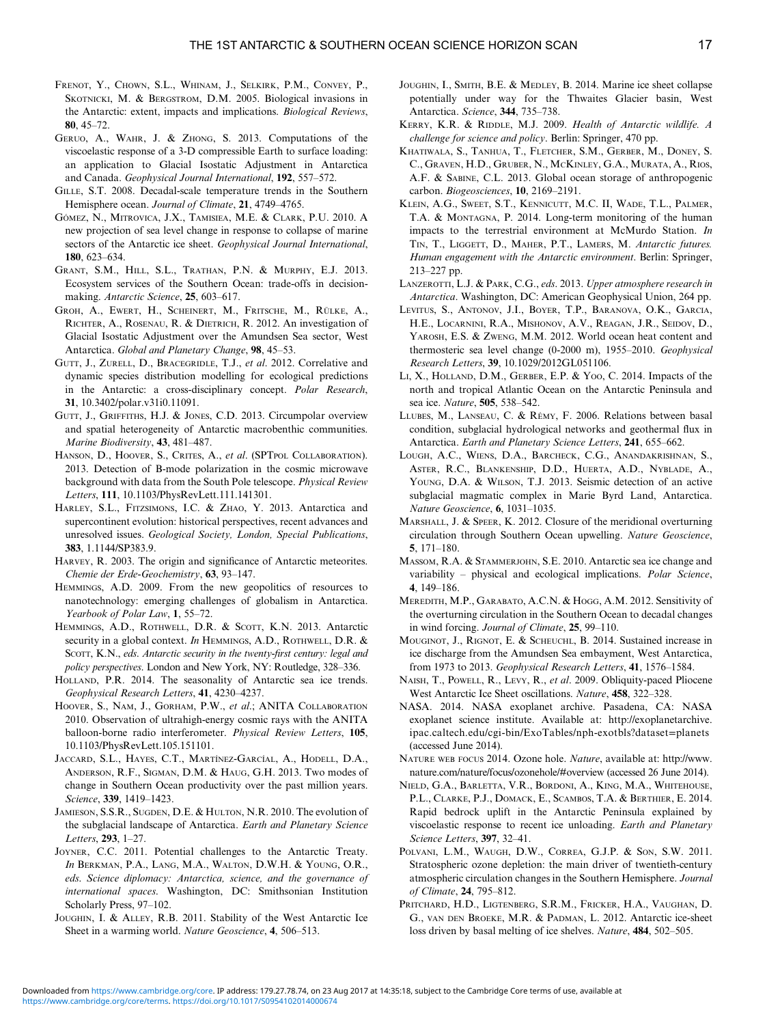- <span id="page-14-0"></span>FRENOT, Y., CHOWN, S.L., WHINAM, J., SELKIRK, P.M., CONVEY, P., SKOTNICKI, M. & BERGSTROM, D.M. 2005. Biological invasions in the Antarctic: extent, impacts and implications. Biological Reviews, 80, 45–72.
- GERUO, A., WAHR, J. & ZHONG, S. 2013. Computations of the viscoelastic response of a 3-D compressible Earth to surface loading: an application to Glacial Isostatic Adjustment in Antarctica and Canada. Geophysical Journal International, 192, 557–572.
- GILLE, S.T. 2008. Decadal-scale temperature trends in the Southern Hemisphere ocean. Journal of Climate, 21, 4749-4765.
- GÓMEZ, N., MITROVICA, J.X., TAMISIEA, M.E. & CLARK, P.U. 2010. A new projection of sea level change in response to collapse of marine sectors of the Antarctic ice sheet. Geophysical Journal International, 180, 623–634.
- GRANT, S.M., HILL, S.L., TRATHAN, P.N. & MURPHY, E.J. 2013. Ecosystem services of the Southern Ocean: trade-offs in decisionmaking. Antarctic Science, 25, 603-617.
- GROH, A., EWERT, H., SCHEINERT, M., FRITSCHE, M., RÜLKE, A., RICHTER, A., ROSENAU, R. & DIETRICH, R. 2012. An investigation of Glacial Isostatic Adjustment over the Amundsen Sea sector, West Antarctica. Global and Planetary Change, 98, 45–53.
- GUTT, J., ZURELL, D., BRACEGRIDLE, T.J., et al. 2012. Correlative and dynamic species distribution modelling for ecological predictions in the Antarctic: a cross-disciplinary concept. Polar Research, 31, 10.3402/polar.v31i0.11091.
- GUTT, J., GRIFFITHS, H.J. & JONES, C.D. 2013. Circumpolar overview and spatial heterogeneity of Antarctic macrobenthic communities. Marine Biodiversity, 43, 481–487.
- HANSON, D., HOOVER, S., CRITES, A., et al. (SPTPOL COLLABORATION). 2013. Detection of B-mode polarization in the cosmic microwave background with data from the South Pole telescope. Physical Review Letters, 111, 10.1103/PhysRevLett.111.141301.
- HARLEY, S.L., FITZSIMONS, I.C. & ZHAO, Y. 2013. Antarctica and supercontinent evolution: historical perspectives, recent advances and unresolved issues. Geological Society, London, Special Publications, 383, 1.1144/SP383.9.
- HARVEY, R. 2003. The origin and significance of Antarctic meteorites. Chemie der Erde-Geochemistry, 63, 93–147.
- HEMMINGS, A.D. 2009. From the new geopolitics of resources to nanotechnology: emerging challenges of globalism in Antarctica. Yearbook of Polar Law, 1, 55–72.
- HEMMINGS, A.D., ROTHWELL, D.R. & SCOTT, K.N. 2013. Antarctic security in a global context. In HEMMINGS, A.D., ROTHWELL, D.R. & SCOTT, K.N., eds. Antarctic security in the twenty-first century: legal and policy perspectives. London and New York, NY: Routledge, 328–336.
- HOLLAND, P.R. 2014. The seasonality of Antarctic sea ice trends. Geophysical Research Letters, 41, 4230–4237.
- HOOVER, S., NAM, J., GORHAM, P.W., et al.; ANITA COLLABORATION 2010. Observation of ultrahigh-energy cosmic rays with the ANITA balloon-borne radio interferometer. Physical Review Letters, 105, 10.1103/PhysRevLett.105.151101.
- JACCARD, S.L., HAYES, C.T., MARTÍNEZ-GARCÍAL, A., HODELL, D.A., ANDERSON, R.F., SIGMAN, D.M. & HAUG, G.H. 2013. Two modes of change in Southern Ocean productivity over the past million years. Science, 339, 1419–1423.
- JAMIESON, S.S.R., SUGDEN, D.E. & HULTON, N.R. 2010. The evolution of the subglacial landscape of Antarctica. Earth and Planetary Science Letters, 293, 1–27.
- JOYNER, C.C. 2011. Potential challenges to the Antarctic Treaty. In BERKMAN, P.A., LANG, M.A., WALTON, D.W.H. & YOUNG, O.R., eds. Science diplomacy: Antarctica, science, and the governance of international spaces. Washington, DC: Smithsonian Institution Scholarly Press, 97–102.
- JOUGHIN, I. & ALLEY, R.B. 2011. Stability of the West Antarctic Ice Sheet in a warming world. Nature Geoscience, 4, 506–513.
- JOUGHIN, I., SMITH, B.E. & MEDLEY, B. 2014. Marine ice sheet collapse potentially under way for the Thwaites Glacier basin, West Antarctica. Science, 344, 735–738.
- KERRY, K.R. & RIDDLE, M.J. 2009. Health of Antarctic wildlife. A challenge for science and policy. Berlin: Springer, 470 pp.
- KHATIWALA, S., TANHUA, T., FLETCHER, S.M., GERBER, M., DONEY, S. C., GRAVEN, H.D., GRUBER, N., MCKINLEY, G.A., MURATA, A., RIOS, A.F. & SABINE, C.L. 2013. Global ocean storage of anthropogenic carbon. Biogeosciences, 10, 2169–2191.
- KLEIN, A.G., SWEET, S.T., KENNICUTT, M.C. II, WADE, T.L., PALMER, T.A. & MONTAGNA, P. 2014. Long-term monitoring of the human impacts to the terrestrial environment at McMurdo Station. In TIN, T., LIGGETT, D., MAHER, P.T., LAMERS, M. Antarctic futures. Human engagement with the Antarctic environment. Berlin: Springer, 213–227 pp.
- LANZEROTTI, L.J. & PARK, C.G., eds. 2013. Upper atmosphere research in Antarctica. Washington, DC: American Geophysical Union, 264 pp.
- LEVITUS, S., ANTONOV, J.I., BOYER, T.P., BARANOVA, O.K., GARCIA, H.E., LOCARNINI, R.A., MISHONOV, A.V., REAGAN, J.R., SEIDOV, D., YAROSH, E.S. & ZWENG, M.M. 2012. World ocean heat content and thermosteric sea level change (0-2000 m), 1955–2010. Geophysical Research Letters, 39, 10.1029/2012GL051106.
- LI, X., HOLLAND, D.M., GERBER, E.P. & YOO, C. 2014. Impacts of the north and tropical Atlantic Ocean on the Antarctic Peninsula and sea ice. Nature, 505, 538–542.
- LLUBES, M., LANSEAU, C. & RÉMY, F. 2006. Relations between basal condition, subglacial hydrological networks and geothermal flux in Antarctica. Earth and Planetary Science Letters, 241, 655–662.
- LOUGH, A.C., WIENS, D.A., BARCHECK, C.G., ANANDAKRISHNAN, S., ASTER, R.C., BLANKENSHIP, D.D., HUERTA, A.D., NYBLADE, A., YOUNG, D.A. & WILSON, T.J. 2013. Seismic detection of an active subglacial magmatic complex in Marie Byrd Land, Antarctica. Nature Geoscience, 6, 1031–1035.
- MARSHALL, J. & SPEER, K. 2012. Closure of the meridional overturning circulation through Southern Ocean upwelling. Nature Geoscience, 5, 171–180.
- MASSOM, R.A. & STAMMERJOHN, S.E. 2010. Antarctic sea ice change and variability – physical and ecological implications. Polar Science, 4, 149–186.
- MEREDITH, M.P., GARABATO, A.C.N. & HOGG, A.M. 2012. Sensitivity of the overturning circulation in the Southern Ocean to decadal changes in wind forcing. Journal of Climate, 25, 99–110.
- MOUGINOT, J., RIGNOT, E. & SCHEUCHL, B. 2014. Sustained increase in ice discharge from the Amundsen Sea embayment, West Antarctica, from 1973 to 2013. Geophysical Research Letters, 41, 1576–1584.
- NAISH, T., POWELL, R., LEVY, R., et al. 2009. Obliquity-paced Pliocene West Antarctic Ice Sheet oscillations. Nature, 458, 322–328.
- NASA. 2014. NASA exoplanet archive. Pasadena, CA: NASA exoplanet science institute. Available at: [http://exoplanetarchive.](http://exoplanetarchive.ipac.�caltech.edu/cgi-bin/ExoTables/nph-exotbls?dataset=planets) [ipac.caltech.edu/cgi-bin/ExoTables/nph-exotbls?dataset](http://exoplanetarchive.ipac.�caltech.edu/cgi-bin/ExoTables/nph-exotbls?dataset=planets)=planets (accessed June 2014).
- NATURE WEB FOCUS 2014. Ozone hole. Nature, available at: [http://www.](http://www.nature.com/nature/focus/ozonehole/#overview) [nature.com/nature/focus/ozonehole/#overview](http://www.nature.com/nature/focus/ozonehole/#overview) (accessed 26 June 2014).
- NIELD, G.A., BARLETTA, V.R., BORDONI, A., KING, M.A., WHITEHOUSE, P.L., CLARKE, P.J., DOMACK, E., SCAMBOS, T.A. & BERTHIER, E. 2014. Rapid bedrock uplift in the Antarctic Peninsula explained by viscoelastic response to recent ice unloading. Earth and Planetary Science Letters, 397, 32–41.
- POLVANI, L.M., WAUGH, D.W., CORREA, G.J.P. & SON, S.W. 2011. Stratospheric ozone depletion: the main driver of twentieth-century atmospheric circulation changes in the Southern Hemisphere. Journal of Climate, 24, 795–812.
- PRITCHARD, H.D., LIGTENBERG, S.R.M., FRICKER, H.A., VAUGHAN, D. G., VAN DEN BROEKE, M.R. & PADMAN, L. 2012. Antarctic ice-sheet loss driven by basal melting of ice shelves. Nature, 484, 502–505.